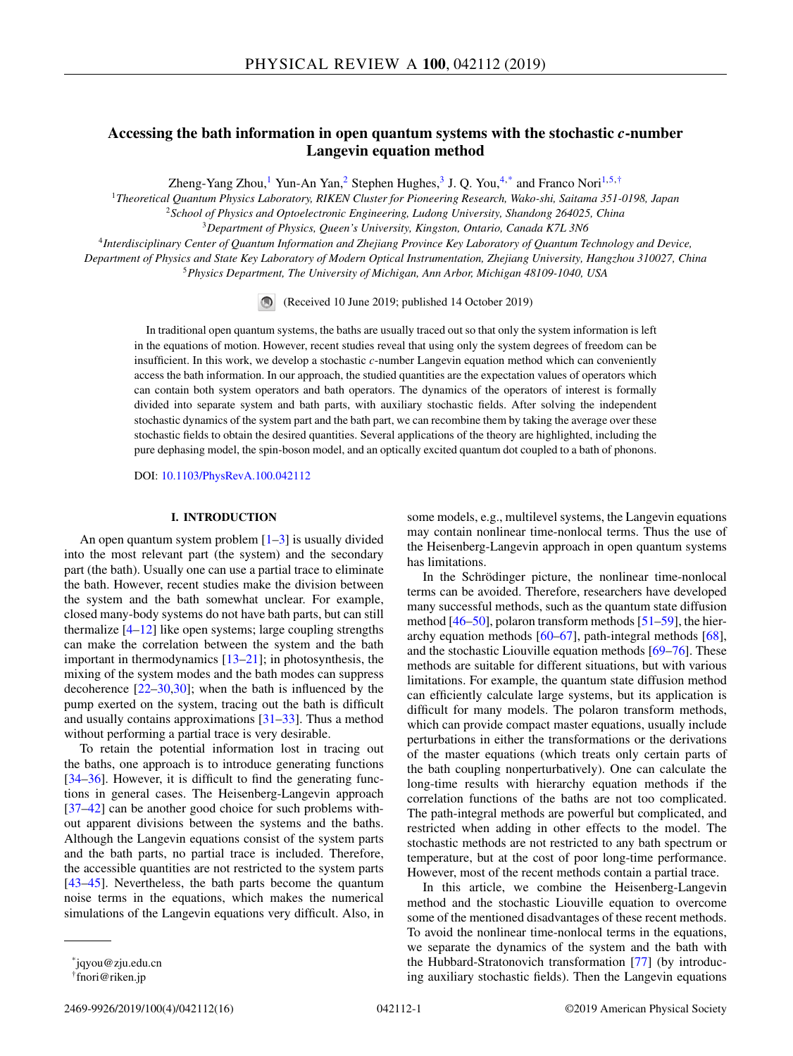# **Accessing the bath information in open quantum systems with the stochastic** *c***-number Langevin equation method**

Zheng-Yang Zhou,<sup>1</sup> Yun-An Yan,<sup>2</sup> Stephen Hughes,<sup>3</sup> J. Q. You,<sup>4,\*</sup> and Franco Nori<sup>1,5,†</sup>

<sup>1</sup>*Theoretical Quantum Physics Laboratory, RIKEN Cluster for Pioneering Research, Wako-shi, Saitama 351-0198, Japan*

<sup>2</sup>*School of Physics and Optoelectronic Engineering, Ludong University, Shandong 264025, China*

<sup>3</sup>*Department of Physics, Queen's University, Kingston, Ontario, Canada K7L 3N6*

<sup>4</sup>*Interdisciplinary Center of Quantum Information and Zhejiang Province Key Laboratory of Quantum Technology and Device, Department of Physics and State Key Laboratory of Modern Optical Instrumentation, Zhejiang University, Hangzhou 310027, China* <sup>5</sup>*Physics Department, The University of Michigan, Ann Arbor, Michigan 48109-1040, USA*

(Received 10 June 2019; published 14 October 2019)

In traditional open quantum systems, the baths are usually traced out so that only the system information is left in the equations of motion. However, recent studies reveal that using only the system degrees of freedom can be insufficient. In this work, we develop a stochastic *c*-number Langevin equation method which can conveniently access the bath information. In our approach, the studied quantities are the expectation values of operators which can contain both system operators and bath operators. The dynamics of the operators of interest is formally divided into separate system and bath parts, with auxiliary stochastic fields. After solving the independent stochastic dynamics of the system part and the bath part, we can recombine them by taking the average over these stochastic fields to obtain the desired quantities. Several applications of the theory are highlighted, including the pure dephasing model, the spin-boson model, and an optically excited quantum dot coupled to a bath of phonons.

DOI: [10.1103/PhysRevA.100.042112](https://doi.org/10.1103/PhysRevA.100.042112)

### **I. INTRODUCTION**

An open quantum system problem  $[1-3]$  is usually divided into the most relevant part (the system) and the secondary part (the bath). Usually one can use a partial trace to eliminate the bath. However, recent studies make the division between the system and the bath somewhat unclear. For example, closed many-body systems do not have bath parts, but can still thermalize  $[4-12]$  $[4-12]$  like open systems; large coupling strengths can make the correlation between the system and the bath important in thermodynamics [\[13–21\]](#page-13-0); in photosynthesis, the mixing of the system modes and the bath modes can suppress decoherence [\[22–30,30\]](#page-13-0); when the bath is influenced by the pump exerted on the system, tracing out the bath is difficult and usually contains approximations [\[31–33\]](#page-13-0). Thus a method without performing a partial trace is very desirable.

To retain the potential information lost in tracing out the baths, one approach is to introduce generating functions [\[34–36\]](#page-13-0). However, it is difficult to find the generating functions in general cases. The Heisenberg-Langevin approach [\[37–42\]](#page-13-0) can be another good choice for such problems without apparent divisions between the systems and the baths. Although the Langevin equations consist of the system parts and the bath parts, no partial trace is included. Therefore, the accessible quantities are not restricted to the system parts [\[43](#page-13-0)[–45\]](#page-14-0). Nevertheless, the bath parts become the quantum noise terms in the equations, which makes the numerical simulations of the Langevin equations very difficult. Also, in

some models, e.g., multilevel systems, the Langevin equations may contain nonlinear time-nonlocal terms. Thus the use of the Heisenberg-Langevin approach in open quantum systems has limitations.

In the Schrödinger picture, the nonlinear time-nonlocal terms can be avoided. Therefore, researchers have developed many successful methods, such as the quantum state diffusion method  $[46–50]$ , polaron transform methods  $[51–59]$ , the hierarchy equation methods [\[60–67\]](#page-14-0), path-integral methods [\[68\]](#page-14-0), and the stochastic Liouville equation methods [\[69–76\]](#page-14-0). These methods are suitable for different situations, but with various limitations. For example, the quantum state diffusion method can efficiently calculate large systems, but its application is difficult for many models. The polaron transform methods, which can provide compact master equations, usually include perturbations in either the transformations or the derivations of the master equations (which treats only certain parts of the bath coupling nonperturbatively). One can calculate the long-time results with hierarchy equation methods if the correlation functions of the baths are not too complicated. The path-integral methods are powerful but complicated, and restricted when adding in other effects to the model. The stochastic methods are not restricted to any bath spectrum or temperature, but at the cost of poor long-time performance. However, most of the recent methods contain a partial trace.

In this article, we combine the Heisenberg-Langevin method and the stochastic Liouville equation to overcome some of the mentioned disadvantages of these recent methods. To avoid the nonlinear time-nonlocal terms in the equations, we separate the dynamics of the system and the bath with the Hubbard-Stratonovich transformation [\[77\]](#page-14-0) (by introducing auxiliary stochastic fields). Then the Langevin equations

<sup>\*</sup>jqyou@zju.edu.cn

<sup>†</sup>fnori@riken.jp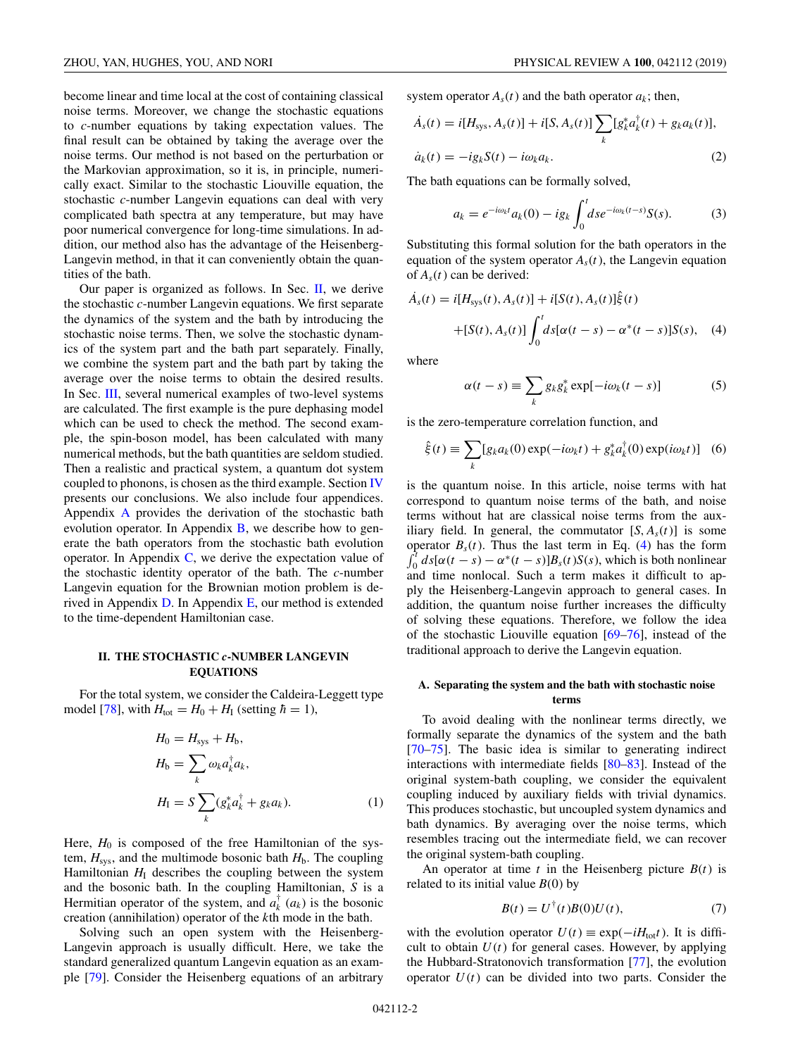<span id="page-1-0"></span>become linear and time local at the cost of containing classical noise terms. Moreover, we change the stochastic equations to *c*-number equations by taking expectation values. The final result can be obtained by taking the average over the noise terms. Our method is not based on the perturbation or the Markovian approximation, so it is, in principle, numerically exact. Similar to the stochastic Liouville equation, the stochastic *c*-number Langevin equations can deal with very complicated bath spectra at any temperature, but may have poor numerical convergence for long-time simulations. In addition, our method also has the advantage of the Heisenberg-Langevin method, in that it can conveniently obtain the quantities of the bath.

Our paper is organized as follows. In Sec.  $II$ , we derive the stochastic *c*-number Langevin equations. We first separate the dynamics of the system and the bath by introducing the stochastic noise terms. Then, we solve the stochastic dynamics of the system part and the bath part separately. Finally, we combine the system part and the bath part by taking the average over the noise terms to obtain the desired results. In Sec. [III,](#page-5-0) several numerical examples of two-level systems are calculated. The first example is the pure dephasing model which can be used to check the method. The second example, the spin-boson model, has been calculated with many numerical methods, but the bath quantities are seldom studied. Then a realistic and practical system, a quantum dot system coupled to phonons, is chosen as the third example. Section [IV](#page-9-0) presents our conclusions. We also include four appendices. Appendix [A](#page-9-0) provides the derivation of the stochastic bath evolution operator. In Appendix  $\overline{B}$ , we describe how to generate the bath operators from the stochastic bath evolution operator. In Appendix  $C$ , we derive the expectation value of the stochastic identity operator of the bath. The *c*-number Langevin equation for the Brownian motion problem is derived in Appendix  $D$ . In Appendix  $E$ , our method is extended to the time-dependent Hamiltonian case.

## **II. THE STOCHASTIC** *c***-NUMBER LANGEVIN EQUATIONS**

For the total system, we consider the Caldeira-Leggett type model [\[78\]](#page-14-0), with  $H_{\text{tot}} = H_0 + H_{\text{I}}$  (setting  $\hbar = 1$ ),

$$
H_0 = H_{\text{sys}} + H_{\text{b}},
$$
  
\n
$$
H_{\text{b}} = \sum_k \omega_k a_k^{\dagger} a_k,
$$
  
\n
$$
H_{\text{I}} = S \sum_k (g_k^* a_k^{\dagger} + g_k a_k).
$$
\n(1)

Here,  $H_0$  is composed of the free Hamiltonian of the system,  $H_{\text{sys}}$ , and the multimode bosonic bath  $H_{\text{b}}$ . The coupling Hamiltonian  $H<sub>I</sub>$  describes the coupling between the system and the bosonic bath. In the coupling Hamiltonian, *S* is a Hermitian operator of the system, and  $a_k^{\dagger}$  ( $a_k$ ) is the bosonic creation (annihilation) operator of the *k*th mode in the bath.

Solving such an open system with the Heisenberg-Langevin approach is usually difficult. Here, we take the standard generalized quantum Langevin equation as an example [\[79\]](#page-14-0). Consider the Heisenberg equations of an arbitrary

system operator  $A_s(t)$  and the bath operator  $a_k$ ; then,

$$
\dot{A}_s(t) = i[H_{\text{sys}}, A_s(t)] + i[S, A_s(t)] \sum_k [g_k^* a_k^{\dagger}(t) + g_k a_k(t)],
$$
  

$$
\dot{a}_k(t) = -ig_k S(t) - i\omega_k a_k.
$$
 (2)

The bath equations can be formally solved,

$$
a_k = e^{-i\omega_k t} a_k(0) - ig_k \int_0^t ds e^{-i\omega_k(t-s)} S(s).
$$
 (3)

Substituting this formal solution for the bath operators in the equation of the system operator  $A<sub>s</sub>(t)$ , the Langevin equation of  $A<sub>s</sub>(t)$  can be derived:

$$
\dot{A}_s(t) = i[H_{\text{sys}}(t), A_s(t)] + i[S(t), A_s(t)]\hat{\xi}(t) \n+ [S(t), A_s(t)] \int_0^t ds[\alpha(t - s) - \alpha^*(t - s)]S(s), \quad (4)
$$

where

$$
\alpha(t - s) \equiv \sum_{k} g_{k} g_{k}^{*} \exp[-i\omega_{k}(t - s)] \tag{5}
$$

is the zero-temperature correlation function, and

$$
\hat{\xi}(t) \equiv \sum_{k} [g_k a_k(0) \exp(-i\omega_k t) + g_k^* a_k^{\dagger}(0) \exp(i\omega_k t)] \quad (6)
$$

is the quantum noise. In this article, noise terms with hat correspond to quantum noise terms of the bath, and noise terms without hat are classical noise terms from the auxiliary field. In general, the commutator  $[S, A_s(t)]$  is some operator  $B_s(t)$ . Thus the last term in Eq. (4) has the form  $f^t_{s,t}$   $J_s[f_0(t), \ldots]$   $\mathcal{L}(t)$   $\mathcal{L}(s)$  which is hather and increase  $\int_0^t ds [\alpha(t-s) - \alpha^*(t-s)]B_s(t)S(s)$ , which is both nonlinear and time nonlocal. Such a term makes it difficult to apply the Heisenberg-Langevin approach to general cases. In addition, the quantum noise further increases the difficulty of solving these equations. Therefore, we follow the idea of the stochastic Liouville equation [\[69–76\]](#page-14-0), instead of the traditional approach to derive the Langevin equation.

#### **A. Separating the system and the bath with stochastic noise terms**

To avoid dealing with the nonlinear terms directly, we formally separate the dynamics of the system and the bath [\[70–75\]](#page-14-0). The basic idea is similar to generating indirect interactions with intermediate fields [\[80–](#page-14-0)[83\]](#page-15-0). Instead of the original system-bath coupling, we consider the equivalent coupling induced by auxiliary fields with trivial dynamics. This produces stochastic, but uncoupled system dynamics and bath dynamics. By averaging over the noise terms, which resembles tracing out the intermediate field, we can recover the original system-bath coupling.

An operator at time  $t$  in the Heisenberg picture  $B(t)$  is related to its initial value  $B(0)$  by

$$
B(t) = U^{\dagger}(t)B(0)U(t),\tag{7}
$$

with the evolution operator  $U(t) \equiv \exp(-iH_{tot}t)$ . It is difficult to obtain  $U(t)$  for general cases. However, by applying the Hubbard-Stratonovich transformation [\[77\]](#page-14-0), the evolution operator  $U(t)$  can be divided into two parts. Consider the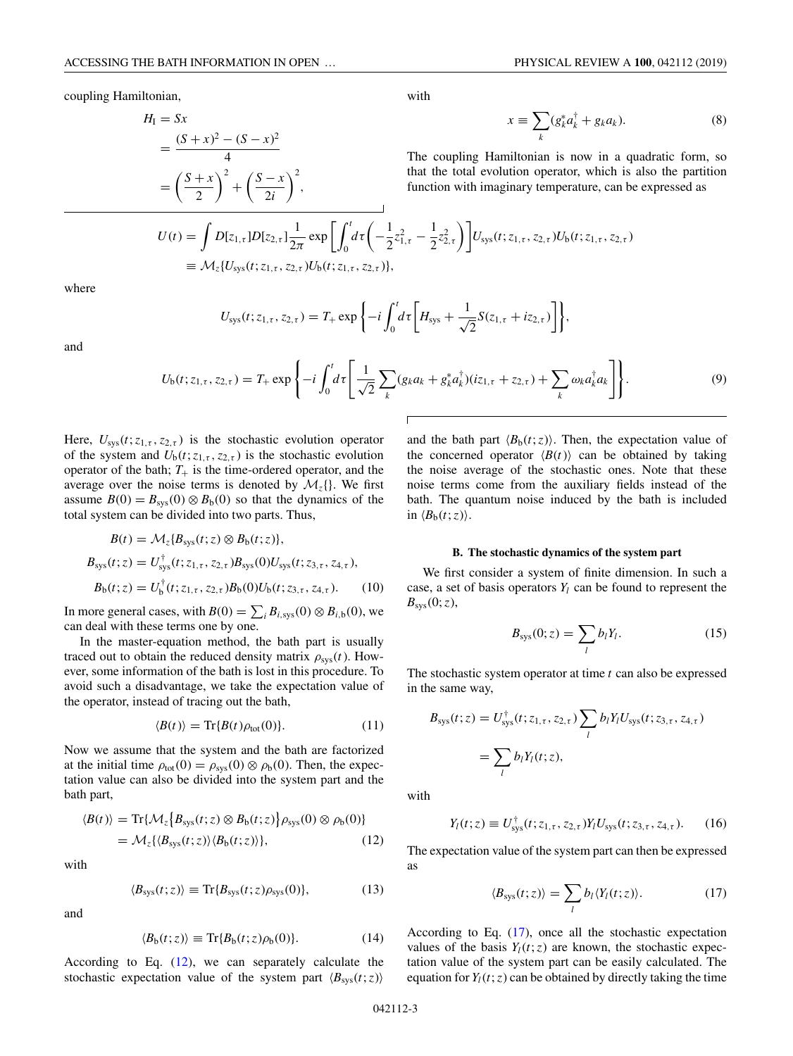<span id="page-2-0"></span>coupling Hamiltonian,

$$
H_{I} = Sx
$$
  
=  $\frac{(S+x)^{2} - (S-x)^{2}}{4}$   
=  $\left(\frac{S+x}{2}\right)^{2} + \left(\frac{S-x}{2i}\right)^{2}$ ,

with

$$
x \equiv \sum_{k} (g_{k}^{*} a_{k}^{\dagger} + g_{k} a_{k}). \tag{8}
$$

The coupling Hamiltonian is now in a quadratic form, so that the total evolution operator, which is also the partition function with imaginary temperature, can be expressed as

$$
U(t) = \int D[z_{1,\tau}]D[z_{2,\tau}] \frac{1}{2\pi} \exp\left[\int_0^t d\tau \left(-\frac{1}{2}z_{1,\tau}^2 - \frac{1}{2}z_{2,\tau}^2\right)\right] U_{\text{sys}}(t; z_{1,\tau}, z_{2,\tau}) U_b(t; z_{1,\tau}, z_{2,\tau})
$$
  
\n
$$
\equiv \mathcal{M}_z \{U_{\text{sys}}(t; z_{1,\tau}, z_{2,\tau}) U_b(t; z_{1,\tau}, z_{2,\tau})\},
$$

where

$$
U_{\rm sys}(t; z_{1,\tau}, z_{2,\tau}) = T_{+} \exp \left\{-i \int_{0}^{t} d\tau \left[H_{\rm sys} + \frac{1}{\sqrt{2}} S(z_{1,\tau} + iz_{2,\tau})\right]\right\},\,
$$

and

$$
U_{b}(t; z_{1,\tau}, z_{2,\tau}) = T_{+} \exp \left\{-i \int_{0}^{t} d\tau \left[ \frac{1}{\sqrt{2}} \sum_{k} (g_{k} a_{k} + g_{k}^{*} a_{k}^{\dagger}) (iz_{1,\tau} + z_{2,\tau}) + \sum_{k} \omega_{k} a_{k}^{\dagger} a_{k} \right] \right\}.
$$
 (9)

Here,  $U_{sys}(t; z_{1,\tau}, z_{2,\tau})$  is the stochastic evolution operator of the system and  $U_b(t; z_{1, \tau}, z_{2, \tau})$  is the stochastic evolution operator of the bath;  $T_+$  is the time-ordered operator, and the average over the noise terms is denoted by  $\mathcal{M}_z$  {}. We first assume  $B(0) = B_{sys}(0) \otimes B_b(0)$  so that the dynamics of the total system can be divided into two parts. Thus,

$$
B(t) = \mathcal{M}_z \{ B_{\text{sys}}(t; z) \otimes B_{\text{b}}(t; z) \},
$$
  
\n
$$
B_{\text{sys}}(t; z) = U_{\text{sys}}^{\dagger}(t; z_{1, \tau}, z_{2, \tau}) B_{\text{sys}}(0) U_{\text{sys}}(t; z_{3, \tau}, z_{4, \tau}),
$$
  
\n
$$
B_{\text{b}}(t; z) = U_{\text{b}}^{\dagger}(t; z_{1, \tau}, z_{2, \tau}) B_{\text{b}}(0) U_{\text{b}}(t; z_{3, \tau}, z_{4, \tau}).
$$
 (10)

In more general cases, with  $B(0) = \sum_i B_{i,sys}(0) \otimes B_{i,b}(0)$ , we can deal with these terms one by one.

In the master-equation method, the bath part is usually traced out to obtain the reduced density matrix  $\rho_{sys}(t)$ . However, some information of the bath is lost in this procedure. To avoid such a disadvantage, we take the expectation value of the operator, instead of tracing out the bath,

$$
\langle B(t) \rangle = \text{Tr}\{B(t)\rho_{\text{tot}}(0)\}.
$$
 (11)

Now we assume that the system and the bath are factorized at the initial time  $\rho_{\text{tot}}(0) = \rho_{\text{sys}}(0) \otimes \rho_{\text{b}}(0)$ . Then, the expectation value can also be divided into the system part and the bath part,

$$
\langle B(t) \rangle = \text{Tr}\{\mathcal{M}_z \{B_{\text{sys}}(t; z) \otimes B_{\text{b}}(t; z)\} \rho_{\text{sys}}(0) \otimes \rho_{\text{b}}(0)\}
$$
  
=  $\mathcal{M}_z \{ \{B_{\text{sys}}(t; z) \} \langle B_{\text{b}}(t; z) \rangle \},$  (12)

with

$$
\langle B_{\rm sys}(t; z) \rangle \equiv \text{Tr} \{ B_{\rm sys}(t; z) \rho_{\rm sys}(0) \},\tag{13}
$$

and

$$
\langle B_{\mathbf{b}}(t; z) \rangle \equiv \text{Tr}\{B_{\mathbf{b}}(t; z)\rho_{\mathbf{b}}(0)\}.
$$
 (14)

According to Eq.  $(12)$ , we can separately calculate the stochastic expectation value of the system part  $\langle B_{sys}(t; z) \rangle$ 

and the bath part  $\langle B_b(t; z) \rangle$ . Then, the expectation value of the concerned operator  $\langle B(t) \rangle$  can be obtained by taking the noise average of the stochastic ones. Note that these noise terms come from the auxiliary fields instead of the bath. The quantum noise induced by the bath is included in  $\langle B_{\text{b}}(t; z) \rangle$ .

#### **B. The stochastic dynamics of the system part**

We first consider a system of finite dimension. In such a case, a set of basis operators  $Y_l$  can be found to represent the  $B_{\rm sys}(0; z)$ ,

$$
B_{\rm sys}(0; z) = \sum_l b_l Y_l. \tag{15}
$$

The stochastic system operator at time *t* can also be expressed in the same way,

$$
B_{\rm sys}(t; z) = U_{\rm sys}^{\dagger}(t; z_{1,\tau}, z_{2,\tau}) \sum_{l} b_{l} Y_{l} U_{\rm sys}(t; z_{3,\tau}, z_{4,\tau})
$$
  
= 
$$
\sum_{l} b_{l} Y_{l}(t; z),
$$

with

$$
Y_l(t; z) \equiv U_{\text{sys}}^{\dagger}(t; z_{1, \tau}, z_{2, \tau}) Y_l U_{\text{sys}}(t; z_{3, \tau}, z_{4, \tau}). \tag{16}
$$

The expectation value of the system part can then be expressed as

$$
\langle B_{\rm sys}(t;z)\rangle = \sum_l b_l \langle Y_l(t;z)\rangle.
$$
 (17)

According to Eq. (17), once all the stochastic expectation values of the basis  $Y_l(t; z)$  are known, the stochastic expectation value of the system part can be easily calculated. The equation for  $Y_l(t; z)$  can be obtained by directly taking the time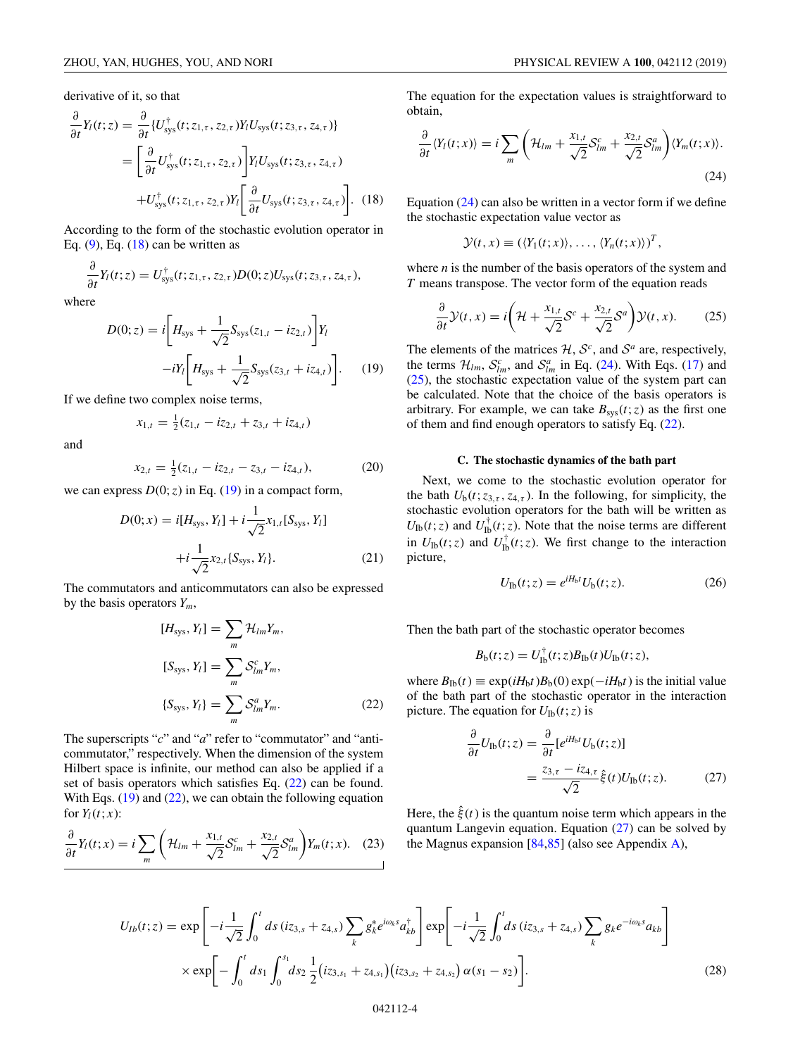<span id="page-3-0"></span>derivative of it, so that

$$
\frac{\partial}{\partial t}Y_l(t; z) = \frac{\partial}{\partial t} \{U_{\text{sys}}^{\dagger}(t; z_{1,\tau}, z_{2,\tau})Y_l U_{\text{sys}}(t; z_{3,\tau}, z_{4,\tau})\}
$$
\n
$$
= \left[\frac{\partial}{\partial t}U_{\text{sys}}^{\dagger}(t; z_{1,\tau}, z_{2,\tau})\right]Y_l U_{\text{sys}}(t; z_{3,\tau}, z_{4,\tau})
$$
\n
$$
+ U_{\text{sys}}^{\dagger}(t; z_{1,\tau}, z_{2,\tau})Y_l \left[\frac{\partial}{\partial t}U_{\text{sys}}(t; z_{3,\tau}, z_{4,\tau})\right]. \quad (18)
$$

According to the form of the stochastic evolution operator in Eq.  $(9)$ , Eq.  $(18)$  can be written as

$$
\frac{\partial}{\partial t}Y_l(t; z) = U_{\text{sys}}^{\dagger}(t; z_{1,\tau}, z_{2,\tau}) D(0; z) U_{\text{sys}}(t; z_{3,\tau}, z_{4,\tau}),
$$

where

$$
D(0; z) = i \left[ H_{\text{sys}} + \frac{1}{\sqrt{2}} S_{\text{sys}}(z_{1,t} - iz_{2,t}) \right] Y_l
$$

$$
-i Y_l \left[ H_{\text{sys}} + \frac{1}{\sqrt{2}} S_{\text{sys}}(z_{3,t} + iz_{4,t}) \right].
$$
 (19)

If we define two complex noise terms,

$$
x_{1,t} = \frac{1}{2}(z_{1,t} - iz_{2,t} + z_{3,t} + iz_{4,t})
$$

and

$$
x_{2,t} = \frac{1}{2}(z_{1,t} - iz_{2,t} - z_{3,t} - iz_{4,t}),
$$
 (20)

we can express  $D(0; z)$  in Eq. (19) in a compact form,

$$
D(0; x) = i[H_{sys}, Y_l] + i\frac{1}{\sqrt{2}}x_{1,t}[S_{sys}, Y_l]
$$

$$
+ i\frac{1}{\sqrt{2}}x_{2,t}\{S_{sys}, Y_l\}.
$$
 (21)

The commutators and anticommutators can also be expressed by the basis operators  $Y_m$ ,

$$
[H_{sys}, Y_l] = \sum_{m} \mathcal{H}_{lm} Y_m,
$$
  
\n
$$
[S_{sys}, Y_l] = \sum_{m} \mathcal{S}_{lm}^c Y_m,
$$
  
\n
$$
\{S_{sys}, Y_l\} = \sum_{m} \mathcal{S}_{lm}^a Y_m.
$$
\n(22)

The superscripts "*c*" and "*a*" refer to "commutator" and "anticommutator," respectively. When the dimension of the system Hilbert space is infinite, our method can also be applied if a set of basis operators which satisfies Eq.  $(22)$  can be found. With Eqs.  $(19)$  and  $(22)$ , we can obtain the following equation for  $Y_l(t; x)$ :

$$
\frac{\partial}{\partial t}Y_l(t;x) = i \sum_m \left( \mathcal{H}_{lm} + \frac{x_{1,t}}{\sqrt{2}} \mathcal{S}_{lm}^c + \frac{x_{2,t}}{\sqrt{2}} \mathcal{S}_{lm}^a \right) Y_m(t;x). \quad (23)
$$

The equation for the expectation values is straightforward to obtain,

$$
\frac{\partial}{\partial t} \langle Y_l(t; x) \rangle = i \sum_m \left( \mathcal{H}_{lm} + \frac{x_{1,t}}{\sqrt{2}} \mathcal{S}_{lm}^c + \frac{x_{2,t}}{\sqrt{2}} \mathcal{S}_{lm}^a \right) \langle Y_m(t; x) \rangle.
$$
\n(24)

Equation  $(24)$  can also be written in a vector form if we define the stochastic expectation value vector as

$$
\mathcal{Y}(t,x) \equiv (\langle Y_1(t;x) \rangle, \ldots, \langle Y_n(t;x) \rangle)^T,
$$

where *n* is the number of the basis operators of the system and *T* means transpose. The vector form of the equation reads

$$
\frac{\partial}{\partial t}\mathcal{Y}(t,x) = i\bigg(\mathcal{H} + \frac{x_{1,t}}{\sqrt{2}}\mathcal{S}^c + \frac{x_{2,t}}{\sqrt{2}}\mathcal{S}^a\bigg)\mathcal{Y}(t,x). \tag{25}
$$

The elements of the matrices  $H$ ,  $S^c$ , and  $S^a$  are, respectively, the terms  $\mathcal{H}_{lm}$ ,  $\mathcal{S}_{lm}^c$ , and  $\mathcal{S}_{lm}^a$  in Eq. (24). With Eqs. [\(17\)](#page-2-0) and (25), the stochastic expectation value of the system part can be calculated. Note that the choice of the basis operators is arbitrary. For example, we can take  $B_{sys}(t; z)$  as the first one of them and find enough operators to satisfy Eq. (22).

#### **C. The stochastic dynamics of the bath part**

Next, we come to the stochastic evolution operator for the bath  $U_b(t; z_{3,\tau}, z_{4,\tau})$ . In the following, for simplicity, the stochastic evolution operators for the bath will be written as  $U_{\text{lb}}(t; z)$  and  $U_{\text{lb}}^{\dagger}(t; z)$ . Note that the noise terms are different in  $U_{\text{Ib}}(t; z)$  and  $U_{\text{Ib}}^{\dagger}(t; z)$ . We first change to the interaction picture,

$$
U_{\rm Ib}(t; z) = e^{iH_{\rm b}t} U_{\rm b}(t; z). \tag{26}
$$

Then the bath part of the stochastic operator becomes

$$
B_{\rm b}(t; z) = U_{\rm Ib}^{\dagger}(t; z) B_{\rm Ib}(t) U_{\rm Ib}(t; z),
$$

where  $B_{\text{Ib}}(t) \equiv \exp(iH_{\text{b}}t)B_{\text{b}}(0)\exp(-iH_{\text{b}}t)$  is the initial value of the bath part of the stochastic operator in the interaction picture. The equation for  $U_{\text{Ib}}(t; z)$  is

$$
\frac{\partial}{\partial t}U_{\text{lb}}(t;z) = \frac{\partial}{\partial t}[e^{iH_{\text{b}}t}U_{\text{b}}(t;z)]
$$
\n
$$
= \frac{z_{3,\tau} - iz_{4,\tau}}{\sqrt{2}}\hat{\xi}(t)U_{\text{lb}}(t;z). \tag{27}
$$

Here, the  $\hat{\xi}(t)$  is the quantum noise term which appears in the quantum Langevin equation. Equation  $(27)$  can be solved by the Magnus expansion  $[84,85]$  (also see Appendix [A\)](#page-9-0),

$$
U_{1b}(t;z) = \exp\left[-i\frac{1}{\sqrt{2}}\int_0^t ds\,(iz_{3,s} + z_{4,s})\sum_k g_k^* e^{i\omega_k s} a_{kb}^\dagger\right] \exp\left[-i\frac{1}{\sqrt{2}}\int_0^t ds\,(iz_{3,s} + z_{4,s})\sum_k g_k e^{-i\omega_k s} a_{kb}\right] \times \exp\left[-\int_0^t ds_1 \int_0^{s_1} ds_2 \frac{1}{2}(iz_{3,s_1} + z_{4,s_1})(iz_{3,s_2} + z_{4,s_2})\alpha(s_1 - s_2)\right].
$$
\n(28)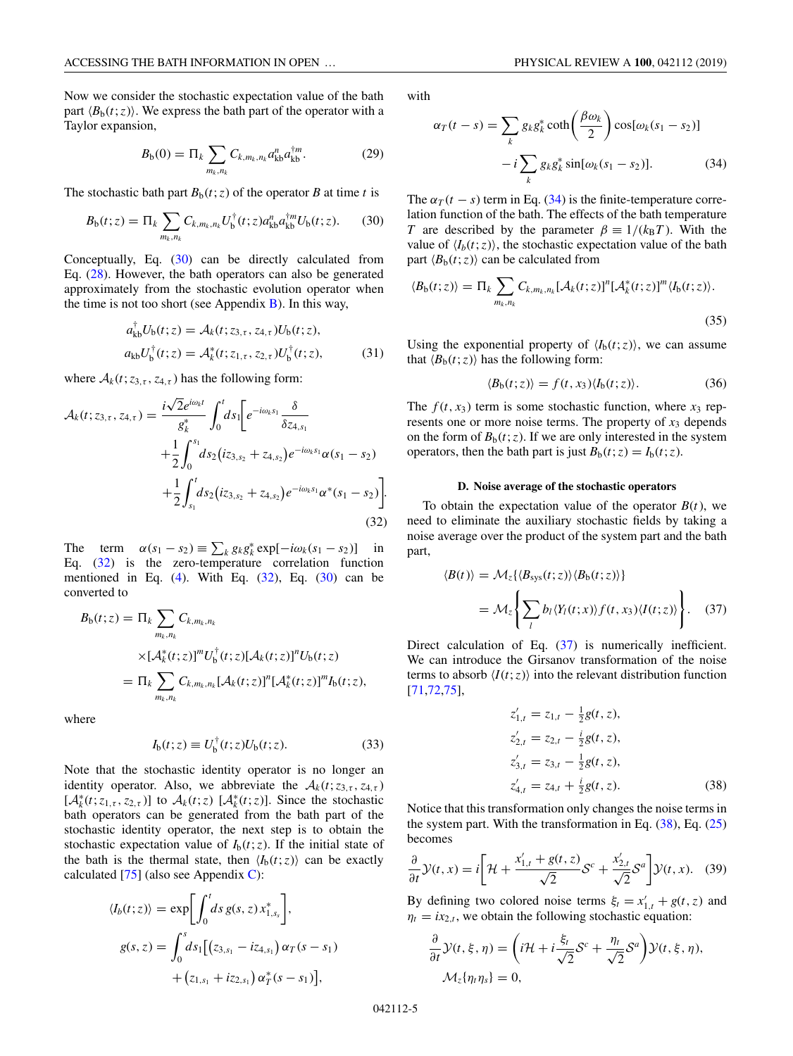<span id="page-4-0"></span>Now we consider the stochastic expectation value of the bath part  $\langle B_b(t; z) \rangle$ . We express the bath part of the operator with a Taylor expansion,

$$
B_{b}(0) = \Pi_{k} \sum_{m_{k}, n_{k}} C_{k, m_{k}, n_{k}} a_{kb}^{n} a_{kb}^{\dagger m}.
$$
 (29)

The stochastic bath part  $B<sub>b</sub>(t; z)$  of the operator *B* at time *t* is

$$
B_{b}(t;z) = \Pi_{k} \sum_{m_{k},n_{k}} C_{k,m_{k},n_{k}} U_{b}^{\dagger}(t;z) a_{kb}^{n} a_{kb}^{\dagger m} U_{b}(t;z). \tag{30}
$$

Conceptually, Eq. (30) can be directly calculated from Eq. [\(28\)](#page-3-0). However, the bath operators can also be generated approximately from the stochastic evolution operator when the time is not too short (see Appendix  $\overline{B}$ ). In this way,

$$
a_{kb}^{\dagger}U_b(t; z) = \mathcal{A}_k(t; z_{3,\tau}, z_{4,\tau})U_b(t; z),
$$
  
\n
$$
a_{kb}U_b^{\dagger}(t; z) = \mathcal{A}_k^*(t; z_{1,\tau}, z_{2,\tau})U_b^{\dagger}(t; z),
$$
\n(31)

where  $A_k(t; z_{3,\tau}, z_{4,\tau})$  has the following form:

$$
\mathcal{A}_{k}(t; z_{3,\tau}, z_{4,\tau}) = \frac{i\sqrt{2}e^{i\omega_{k}t}}{g_{k}^{*}} \int_{0}^{t} ds_{1} \Big[ e^{-i\omega_{k}s_{1}} \frac{\delta}{\delta z_{4,s_{1}}} + \frac{1}{2} \int_{0}^{s_{1}} ds_{2} (iz_{3,s_{2}} + z_{4,s_{2}}) e^{-i\omega_{k}s_{1}} \alpha(s_{1} - s_{2}) + \frac{1}{2} \int_{s_{1}}^{t} ds_{2} (iz_{3,s_{2}} + z_{4,s_{2}}) e^{-i\omega_{k}s_{1}} \alpha^{*}(s_{1} - s_{2}) \Big].
$$
\n(32)

The term  $\alpha(s_1 - s_2) \equiv \sum_k g_k g_k^* \exp[-i\omega_k(s_1 - s_2)]$  in Eq. (32) is the zero-temperature correlation function mentioned in Eq.  $(4)$ . With Eq.  $(32)$ , Eq.  $(30)$  can be converted to

$$
B_{b}(t; z) = \Pi_{k} \sum_{m_{k}, n_{k}} C_{k, m_{k}, n_{k}}
$$
  
 
$$
\times [\mathcal{A}_{k}^{*}(t; z)]^{m} U_{b}^{\dagger}(t; z) [\mathcal{A}_{k}(t; z)]^{n} U_{b}(t; z)
$$
  

$$
= \Pi_{k} \sum_{m_{k}, n_{k}} C_{k, m_{k}, n_{k}} [\mathcal{A}_{k}(t; z)]^{n} [\mathcal{A}_{k}^{*}(t; z)]^{m} I_{b}(t; z),
$$

where

$$
I_{b}(t; z) \equiv U_{b}^{\dagger}(t; z)U_{b}(t; z). \tag{33}
$$

Note that the stochastic identity operator is no longer an identity operator. Also, we abbreviate the  $A_k(t; z_{3,\tau}, z_{4,\tau})$  $[A_k^*(t; z_{1, \tau}, z_{2, \tau})]$  to  $A_k(t; z)$   $[A_k^*(t; z)]$ . Since the stochastic bath operators can be generated from the bath part of the stochastic identity operator, the next step is to obtain the stochastic expectation value of  $I<sub>b</sub>(t; z)$ . If the initial state of the bath is the thermal state, then  $\langle I_b(t;z) \rangle$  can be exactly calculated  $[75]$  (also see Appendix [C\)](#page-10-0):

$$
\langle I_b(t; z) \rangle = \exp \left[ \int_0^t ds \, g(s, z) \, x_{1, s_s}^* \right],
$$
  

$$
g(s, z) = \int_0^s ds_1 \left[ \left( z_{3, s_1} - i z_{4, s_1} \right) \alpha_T (s - s_1) + \left( z_{1, s_1} + i z_{2, s_1} \right) \alpha_T^* (s - s_1) \right],
$$

with

$$
\alpha_T(t-s) = \sum_k g_k g_k^* \coth\left(\frac{\beta \omega_k}{2}\right) \cos[\omega_k(s_1 - s_2)] - i \sum_k g_k g_k^* \sin[\omega_k(s_1 - s_2)]. \tag{34}
$$

The  $\alpha_T(t - s)$  term in Eq. (34) is the finite-temperature correlation function of the bath. The effects of the bath temperature *T* are described by the parameter  $\beta = 1/(k_B T)$ . With the value of  $\langle I_h(t; z) \rangle$ , the stochastic expectation value of the bath part  $\langle B_{\rm b}(t; z) \rangle$  can be calculated from

$$
\langle B_{\mathfrak{b}}(t;z)\rangle = \Pi_k \sum_{m_k,n_k} C_{k,m_k,n_k} [\mathcal{A}_k(t;z)]^n [\mathcal{A}_k^*(t;z)]^m \langle I_{\mathfrak{b}}(t;z)\rangle.
$$
\n(35)

Using the exponential property of  $\langle I_b(t;z) \rangle$ , we can assume that  $\langle B_b(t; z) \rangle$  has the following form:

$$
\langle B_{\mathfrak{b}}(t;z)\rangle = f(t,x_3)\langle I_{\mathfrak{b}}(t;z)\rangle. \tag{36}
$$

The  $f(t, x_3)$  term is some stochastic function, where  $x_3$  represents one or more noise terms. The property of  $x_3$  depends on the form of  $B<sub>b</sub>(t; z)$ . If we are only interested in the system operators, then the bath part is just  $B_b(t; z) = I_b(t; z)$ .

#### **D. Noise average of the stochastic operators**

To obtain the expectation value of the operator  $B(t)$ , we need to eliminate the auxiliary stochastic fields by taking a noise average over the product of the system part and the bath part,

$$
\langle B(t) \rangle = \mathcal{M}_z \{ \langle B_{\rm sys}(t; z) \rangle \langle B_{\rm b}(t; z) \rangle \}
$$

$$
= \mathcal{M}_z \left\{ \sum_l b_l \langle Y_l(t; x) \rangle f(t, x_3) \langle I(t; z) \rangle \right\}. \quad (37)
$$

Direct calculation of Eq.  $(37)$  is numerically inefficient. We can introduce the Girsanov transformation of the noise terms to absorb  $\langle I(t; z) \rangle$  into the relevant distribution function [\[71,72,75\]](#page-14-0),

$$
z'_{1,t} = z_{1,t} - \frac{1}{2}g(t, z),
$$
  
\n
$$
z'_{2,t} = z_{2,t} - \frac{i}{2}g(t, z),
$$
  
\n
$$
z'_{3,t} = z_{3,t} - \frac{1}{2}g(t, z),
$$
  
\n
$$
z'_{4,t} = z_{4,t} + \frac{i}{2}g(t, z).
$$
\n(38)

Notice that this transformation only changes the noise terms in the system part. With the transformation in Eq.  $(38)$ , Eq.  $(25)$ becomes

$$
\frac{\partial}{\partial t}\mathcal{Y}(t,x) = i\bigg[\mathcal{H} + \frac{x'_{1,t} + g(t,z)}{\sqrt{2}}\mathcal{S}^c + \frac{x'_{2,t}}{\sqrt{2}}\mathcal{S}^a\bigg]\mathcal{Y}(t,x). \quad (39)
$$

By defining two colored noise terms  $\xi_t = x'_{1,t} + g(t, z)$  and  $\eta_t = i x_{2,t}$ , we obtain the following stochastic equation:

$$
\frac{\partial}{\partial t} \mathcal{Y}(t, \xi, \eta) = \left( i\mathcal{H} + i\frac{\xi_t}{\sqrt{2}} \mathcal{S}^c + \frac{\eta_t}{\sqrt{2}} \mathcal{S}^a \right) \mathcal{Y}(t, \xi, \eta),
$$
  

$$
\mathcal{M}_z \{ \eta_t \eta_s \} = 0,
$$

042112-5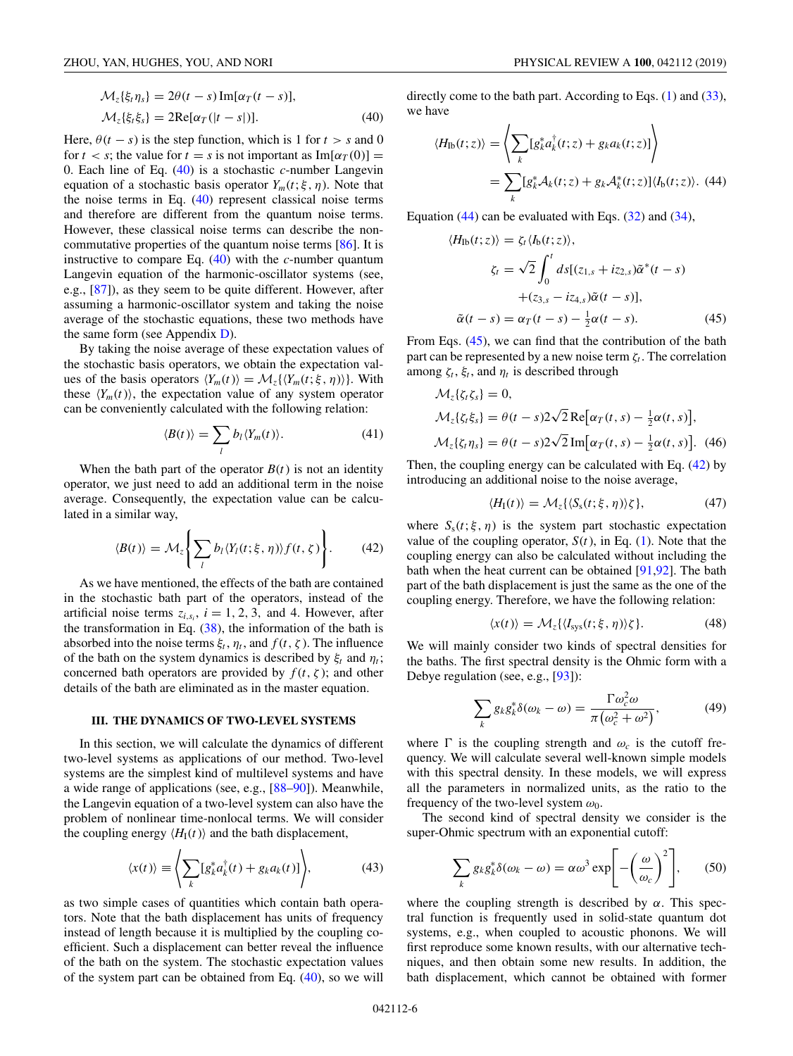<span id="page-5-0"></span>
$$
\mathcal{M}_z\{\xi_t\eta_s\} = 2\theta(t-s)\operatorname{Im}[\alpha_T(t-s)],
$$
  

$$
\mathcal{M}_z\{\xi_t\xi_s\} = 2\operatorname{Re}[\alpha_T(|t-s|)].
$$
 (40)

Here,  $\theta(t - s)$  is the step function, which is 1 for  $t > s$  and 0 for  $t < s$ ; the value for  $t = s$  is not important as  $Im[\alpha_T(0)] =$ 0. Each line of Eq. (40) is a stochastic *c*-number Langevin equation of a stochastic basis operator  $Y_m(t; \xi, \eta)$ . Note that the noise terms in Eq. (40) represent classical noise terms and therefore are different from the quantum noise terms. However, these classical noise terms can describe the noncommutative properties of the quantum noise terms [\[86\]](#page-15-0). It is instructive to compare Eq. (40) with the *c*-number quantum Langevin equation of the harmonic-oscillator systems (see, e.g., [\[87\]](#page-15-0)), as they seem to be quite different. However, after assuming a harmonic-oscillator system and taking the noise average of the stochastic equations, these two methods have the same form (see Appendix [D\)](#page-11-0).

By taking the noise average of these expectation values of the stochastic basis operators, we obtain the expectation values of the basis operators  $\langle Y_m(t) \rangle = \mathcal{M}_z \{ \langle Y_m(t; \xi, \eta) \rangle \}$ . With these  $\langle Y_m(t) \rangle$ , the expectation value of any system operator can be conveniently calculated with the following relation:

$$
\langle B(t) \rangle = \sum_{l} b_{l} \langle Y_m(t) \rangle. \tag{41}
$$

When the bath part of the operator  $B(t)$  is not an identity operator, we just need to add an additional term in the noise average. Consequently, the expectation value can be calculated in a similar way,

$$
\langle B(t) \rangle = \mathcal{M}_z \Bigg\{ \sum_l b_l \langle Y_l(t; \xi, \eta) \rangle f(t, \zeta) \Bigg\}.
$$
 (42)

As we have mentioned, the effects of the bath are contained in the stochastic bath part of the operators, instead of the artificial noise terms  $z_{i,s_i}$ ,  $i = 1, 2, 3$ , and 4. However, after the transformation in Eq.  $(38)$ , the information of the bath is absorbed into the noise terms  $\xi_t$ ,  $\eta_t$ , and  $f(t, \zeta)$ . The influence of the bath on the system dynamics is described by  $\xi_t$  and  $\eta_t$ ; concerned bath operators are provided by  $f(t, \zeta)$ ; and other details of the bath are eliminated as in the master equation.

#### **III. THE DYNAMICS OF TWO-LEVEL SYSTEMS**

In this section, we will calculate the dynamics of different two-level systems as applications of our method. Two-level systems are the simplest kind of multilevel systems and have a wide range of applications (see, e.g., [\[88–90\]](#page-15-0)). Meanwhile, the Langevin equation of a two-level system can also have the problem of nonlinear time-nonlocal terms. We will consider the coupling energy  $\langle H_I(t) \rangle$  and the bath displacement,

$$
\langle x(t) \rangle \equiv \left\langle \sum_{k} [g_{k}^{*} a_{k}^{\dagger}(t) + g_{k} a_{k}(t)] \right\rangle, \tag{43}
$$

as two simple cases of quantities which contain bath operators. Note that the bath displacement has units of frequency instead of length because it is multiplied by the coupling coefficient. Such a displacement can better reveal the influence of the bath on the system. The stochastic expectation values of the system part can be obtained from Eq. (40), so we will

directly come to the bath part. According to Eqs.  $(1)$  and  $(33)$ , we have

$$
\langle H_{\text{lb}}(t;z)\rangle = \left\langle \sum_{k} [g_{k}^{*} a_{k}^{\dagger}(t;z) + g_{k} a_{k}(t;z)] \right\rangle
$$
  
= 
$$
\sum_{k} [g_{k}^{*} A_{k}(t;z) + g_{k} A_{k}^{*}(t;z)] \langle I_{\text{b}}(t;z)\rangle.
$$
 (44)

Equation  $(44)$  can be evaluated with Eqs.  $(32)$  and  $(34)$ ,

$$
\langle H_{\text{lb}}(t; z) \rangle = \zeta_t \langle I_{\text{b}}(t; z) \rangle,
$$
  
\n
$$
\zeta_t = \sqrt{2} \int_0^t ds [(z_{1,s} + iz_{2,s}) \tilde{\alpha}^*(t - s) + (z_{3,s} - iz_{4,s}) \tilde{\alpha}(t - s)],
$$
  
\n
$$
\tilde{\alpha}(t - s) = \alpha_T(t - s) - \frac{1}{2} \alpha(t - s).
$$
 (45)

From Eqs. (45), we can find that the contribution of the bath part can be represented by a new noise term  $\zeta_t$ . The correlation among  $\zeta_t$ ,  $\xi_t$ , and  $\eta_t$  is described through

$$
\mathcal{M}_z\{\zeta_t\zeta_s\} = 0,
$$
  
\n
$$
\mathcal{M}_z\{\zeta_t\zeta_s\} = \theta(t-s)2\sqrt{2}\operatorname{Re}[\alpha_T(t,s) - \frac{1}{2}\alpha(t,s)],
$$
  
\n
$$
\mathcal{M}_z\{\zeta_t\eta_s\} = \theta(t-s)2\sqrt{2}\operatorname{Im}[\alpha_T(t,s) - \frac{1}{2}\alpha(t,s)].
$$
 (46)

Then, the coupling energy can be calculated with Eq. (42) by introducing an additional noise to the noise average,

$$
\langle H_{\rm I}(t) \rangle = \mathcal{M}_z \{ \langle S_{\rm s}(t; \xi, \eta) \rangle \zeta \},\tag{47}
$$

where  $S_s(t;\xi,\eta)$  is the system part stochastic expectation value of the coupling operator,  $S(t)$ , in Eq. [\(1\)](#page-1-0). Note that the coupling energy can also be calculated without including the bath when the heat current can be obtained [\[91,92\]](#page-15-0). The bath part of the bath displacement is just the same as the one of the coupling energy. Therefore, we have the following relation:

$$
\langle x(t) \rangle = \mathcal{M}_z \{ \langle I_{sys}(t; \xi, \eta) \rangle \zeta \}.
$$
 (48)

We will mainly consider two kinds of spectral densities for the baths. The first spectral density is the Ohmic form with a Debye regulation (see, e.g., [\[93\]](#page-15-0)):

$$
\sum_{k} g_{k} g_{k}^{*} \delta(\omega_{k} - \omega) = \frac{\Gamma \omega_{c}^{2} \omega}{\pi (\omega_{c}^{2} + \omega^{2})},
$$
(49)

where  $\Gamma$  is the coupling strength and  $\omega_c$  is the cutoff frequency. We will calculate several well-known simple models with this spectral density. In these models, we will express all the parameters in normalized units, as the ratio to the frequency of the two-level system  $\omega_0$ .

The second kind of spectral density we consider is the super-Ohmic spectrum with an exponential cutoff:

$$
\sum_{k} g_{k} g_{k}^{*} \delta(\omega_{k} - \omega) = \alpha \omega^{3} \exp \left[ -\left(\frac{\omega}{\omega_{c}}\right)^{2} \right], \qquad (50)
$$

where the coupling strength is described by  $\alpha$ . This spectral function is frequently used in solid-state quantum dot systems, e.g., when coupled to acoustic phonons. We will first reproduce some known results, with our alternative techniques, and then obtain some new results. In addition, the bath displacement, which cannot be obtained with former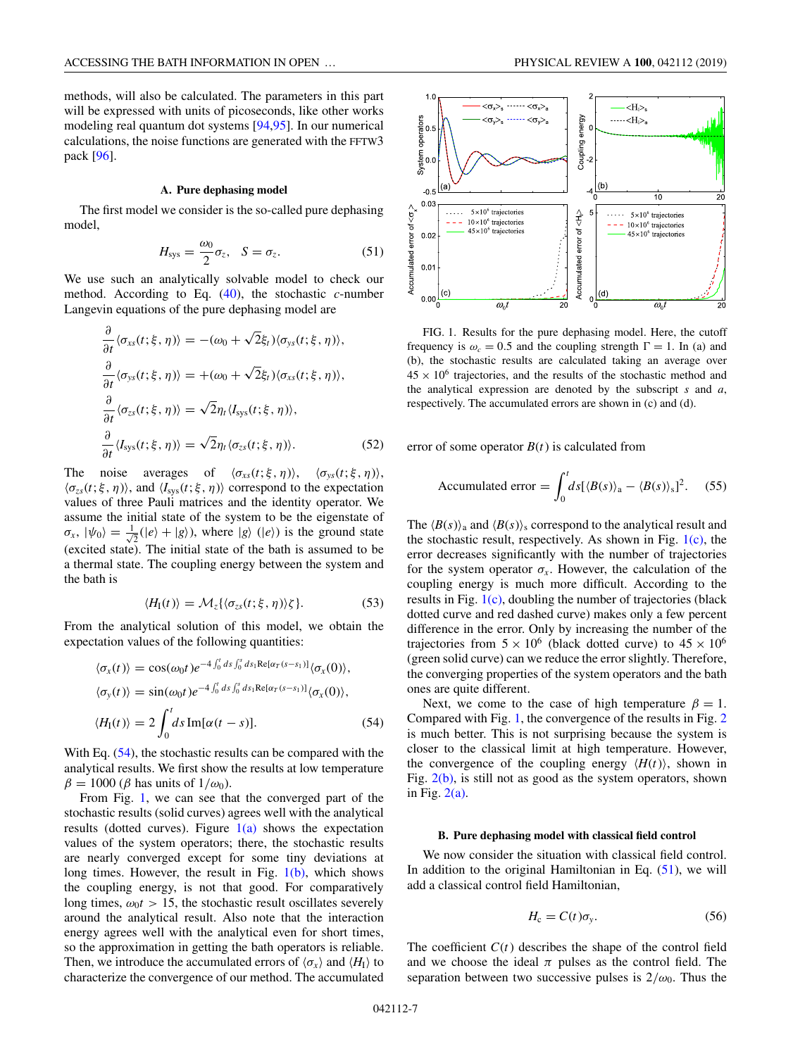<span id="page-6-0"></span>methods, will also be calculated. The parameters in this part will be expressed with units of picoseconds, like other works modeling real quantum dot systems [\[94,95\]](#page-15-0). In our numerical calculations, the noise functions are generated with the FFTW3 pack [\[96\]](#page-15-0).

#### **A. Pure dephasing model**

The first model we consider is the so-called pure dephasing model,

$$
H_{\rm sys} = \frac{\omega_0}{2} \sigma_z, \quad S = \sigma_z.
$$
 (51)

We use such an analytically solvable model to check our method. According to Eq. [\(40\)](#page-5-0), the stochastic *c*-number Langevin equations of the pure dephasing model are

$$
\frac{\partial}{\partial t} \langle \sigma_{xs}(t; \xi, \eta) \rangle = -(\omega_0 + \sqrt{2} \xi_t) \langle \sigma_{ys}(t; \xi, \eta) \rangle,
$$
  
\n
$$
\frac{\partial}{\partial t} \langle \sigma_{ys}(t; \xi, \eta) \rangle = +(\omega_0 + \sqrt{2} \xi_t) \langle \sigma_{xs}(t; \xi, \eta) \rangle,
$$
  
\n
$$
\frac{\partial}{\partial t} \langle \sigma_{zs}(t; \xi, \eta) \rangle = \sqrt{2} \eta_t \langle I_{sys}(t; \xi, \eta) \rangle,
$$
  
\n
$$
\frac{\partial}{\partial t} \langle I_{sys}(t; \xi, \eta) \rangle = \sqrt{2} \eta_t \langle \sigma_{zs}(t; \xi, \eta) \rangle.
$$
 (52)

The noise averages of  $\langle \sigma_{xs}(t;\xi,\eta) \rangle$ ,  $\langle \sigma_{ys}(t;\xi,\eta) \rangle$ ,  $\langle \sigma_{zs}(t;\xi,\eta) \rangle$ , and  $\langle I_{sys}(t;\xi,\eta) \rangle$  correspond to the expectation values of three Pauli matrices and the identity operator. We assume the initial state of the system to be the eigenstate of  $\sigma_x$ ,  $|\psi_0\rangle = \frac{1}{\sqrt{2}}(|e\rangle + |g\rangle)$ , where  $|g\rangle$  ( $|e\rangle$ ) is the ground state (excited state). The initial state of the bath is assumed to be a thermal state. The coupling energy between the system and the bath is

$$
\langle H_{\rm I}(t) \rangle = \mathcal{M}_z \{ \langle \sigma_{zs}(t; \xi, \eta) \rangle \zeta \}.
$$
 (53)

From the analytical solution of this model, we obtain the expectation values of the following quantities:

$$
\langle \sigma_x(t) \rangle = \cos(\omega_0 t) e^{-4 \int_0^t ds \int_0^s ds_1 \text{Re}[\alpha_T(s-s_1)]} \langle \sigma_x(0) \rangle,
$$
  

$$
\langle \sigma_y(t) \rangle = \sin(\omega_0 t) e^{-4 \int_0^t ds \int_0^s ds_1 \text{Re}[\alpha_T(s-s_1)]} \langle \sigma_x(0) \rangle,
$$
  

$$
\langle H_1(t) \rangle = 2 \int_0^t ds \text{Im}[\alpha(t-s)]. \tag{54}
$$

With Eq.  $(54)$ , the stochastic results can be compared with the analytical results. We first show the results at low temperature  $β = 1000 (β has units of 1/ω<sub>0</sub>).$ 

From Fig. 1, we can see that the converged part of the stochastic results (solid curves) agrees well with the analytical results (dotted curves). Figure  $1(a)$  shows the expectation values of the system operators; there, the stochastic results are nearly converged except for some tiny deviations at long times. However, the result in Fig.  $1(b)$ , which shows the coupling energy, is not that good. For comparatively long times,  $\omega_0 t > 15$ , the stochastic result oscillates severely around the analytical result. Also note that the interaction energy agrees well with the analytical even for short times, so the approximation in getting the bath operators is reliable. Then, we introduce the accumulated errors of  $\langle \sigma_x \rangle$  and  $\langle H_I \rangle$  to characterize the convergence of our method. The accumulated



FIG. 1. Results for the pure dephasing model. Here, the cutoff frequency is  $\omega_c = 0.5$  and the coupling strength  $\Gamma = 1$ . In (a) and (b), the stochastic results are calculated taking an average over  $45 \times 10^6$  trajectories, and the results of the stochastic method and the analytical expression are denoted by the subscript *s* and *a*, respectively. The accumulated errors are shown in (c) and (d).

error of some operator  $B(t)$  is calculated from

$$
\text{Accumulated error} = \int_0^t ds \left[ \langle B(s) \rangle_a - \langle B(s) \rangle_s \right]^2. \tag{55}
$$

The  $\langle B(s) \rangle$ <sub>a</sub> and  $\langle B(s) \rangle$ <sub>s</sub> correspond to the analytical result and the stochastic result, respectively. As shown in Fig.  $1(c)$ , the error decreases significantly with the number of trajectories for the system operator  $\sigma_x$ . However, the calculation of the coupling energy is much more difficult. According to the results in Fig. 1(c), doubling the number of trajectories (black dotted curve and red dashed curve) makes only a few percent difference in the error. Only by increasing the number of the trajectories from  $5 \times 10^6$  (black dotted curve) to  $45 \times 10^6$ (green solid curve) can we reduce the error slightly. Therefore, the converging properties of the system operators and the bath ones are quite different.

Next, we come to the case of high temperature  $\beta = 1$ . Compared with Fig. 1, the convergence of the results in Fig. [2](#page-7-0) is much better. This is not surprising because the system is closer to the classical limit at high temperature. However, the convergence of the coupling energy  $\langle H(t) \rangle$ , shown in Fig.  $2(b)$ , is still not as good as the system operators, shown in Fig.  $2(a)$ .

#### **B. Pure dephasing model with classical field control**

We now consider the situation with classical field control. In addition to the original Hamiltonian in Eq.  $(51)$ , we will add a classical control field Hamiltonian,

$$
H_{\rm c} = C(t)\sigma_{\rm y}.\tag{56}
$$

The coefficient  $C(t)$  describes the shape of the control field and we choose the ideal  $\pi$  pulses as the control field. The separation between two successive pulses is  $2/\omega_0$ . Thus the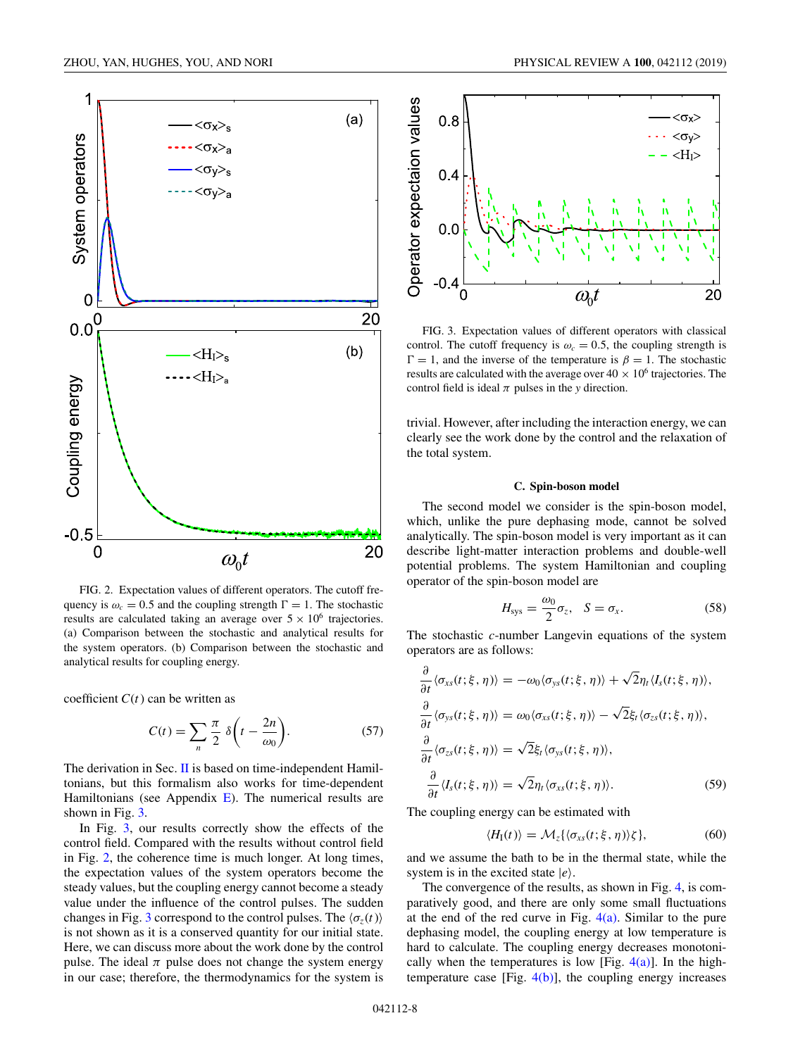<span id="page-7-0"></span>

FIG. 2. Expectation values of different operators. The cutoff frequency is  $\omega_c = 0.5$  and the coupling strength  $\Gamma = 1$ . The stochastic results are calculated taking an average over  $5 \times 10^6$  trajectories. (a) Comparison between the stochastic and analytical results for the system operators. (b) Comparison between the stochastic and analytical results for coupling energy.

coefficient  $C(t)$  can be written as

$$
C(t) = \sum_{n} \frac{\pi}{2} \delta\left(t - \frac{2n}{\omega_0}\right).
$$
 (57)

The derivation in Sec. [II](#page-1-0) is based on time-independent Hamiltonians, but this formalism also works for time-dependent Hamiltonians (see Appendix  $E$ ). The numerical results are shown in Fig. 3.

In Fig. 3, our results correctly show the effects of the control field. Compared with the results without control field in Fig. 2, the coherence time is much longer. At long times, the expectation values of the system operators become the steady values, but the coupling energy cannot become a steady value under the influence of the control pulses. The sudden changes in Fig. 3 correspond to the control pulses. The  $\langle \sigma_z(t) \rangle$ is not shown as it is a conserved quantity for our initial state. Here, we can discuss more about the work done by the control pulse. The ideal  $\pi$  pulse does not change the system energy in our case; therefore, the thermodynamics for the system is



FIG. 3. Expectation values of different operators with classical control. The cutoff frequency is  $\omega_c = 0.5$ , the coupling strength is  $\Gamma = 1$ , and the inverse of the temperature is  $\beta = 1$ . The stochastic results are calculated with the average over  $40 \times 10^6$  trajectories. The control field is ideal  $\pi$  pulses in the *y* direction.

trivial. However, after including the interaction energy, we can clearly see the work done by the control and the relaxation of the total system.

### **C. Spin-boson model**

The second model we consider is the spin-boson model, which, unlike the pure dephasing mode, cannot be solved analytically. The spin-boson model is very important as it can describe light-matter interaction problems and double-well potential problems. The system Hamiltonian and coupling operator of the spin-boson model are

$$
H_{\rm sys} = \frac{\omega_0}{2} \sigma_z, \quad S = \sigma_x. \tag{58}
$$

The stochastic *c*-number Langevin equations of the system operators are as follows:

$$
\frac{\partial}{\partial t} \langle \sigma_{xs}(t; \xi, \eta) \rangle = -\omega_0 \langle \sigma_{ys}(t; \xi, \eta) \rangle + \sqrt{2} \eta_t \langle I_s(t; \xi, \eta) \rangle,
$$
  
\n
$$
\frac{\partial}{\partial t} \langle \sigma_{ys}(t; \xi, \eta) \rangle = \omega_0 \langle \sigma_{xs}(t; \xi, \eta) \rangle - \sqrt{2} \xi_t \langle \sigma_{zs}(t; \xi, \eta) \rangle,
$$
  
\n
$$
\frac{\partial}{\partial t} \langle \sigma_{zs}(t; \xi, \eta) \rangle = \sqrt{2} \xi_t \langle \sigma_{ys}(t; \xi, \eta) \rangle,
$$
  
\n
$$
\frac{\partial}{\partial t} \langle I_s(t; \xi, \eta) \rangle = \sqrt{2} \eta_t \langle \sigma_{xs}(t; \xi, \eta) \rangle.
$$
 (59)

The coupling energy can be estimated with

$$
\langle H_{\rm I}(t) \rangle = \mathcal{M}_z \{ \langle \sigma_{xs}(t; \xi, \eta) \rangle \zeta \},\tag{60}
$$

and we assume the bath to be in the thermal state, while the system is in the excited state  $|e\rangle$ .

The convergence of the results, as shown in Fig. [4,](#page-8-0) is comparatively good, and there are only some small fluctuations at the end of the red curve in Fig.  $4(a)$ . Similar to the pure dephasing model, the coupling energy at low temperature is hard to calculate. The coupling energy decreases monotonically when the temperatures is low [Fig.  $4(a)$ ]. In the hightemperature case [Fig.  $4(b)$ ], the coupling energy increases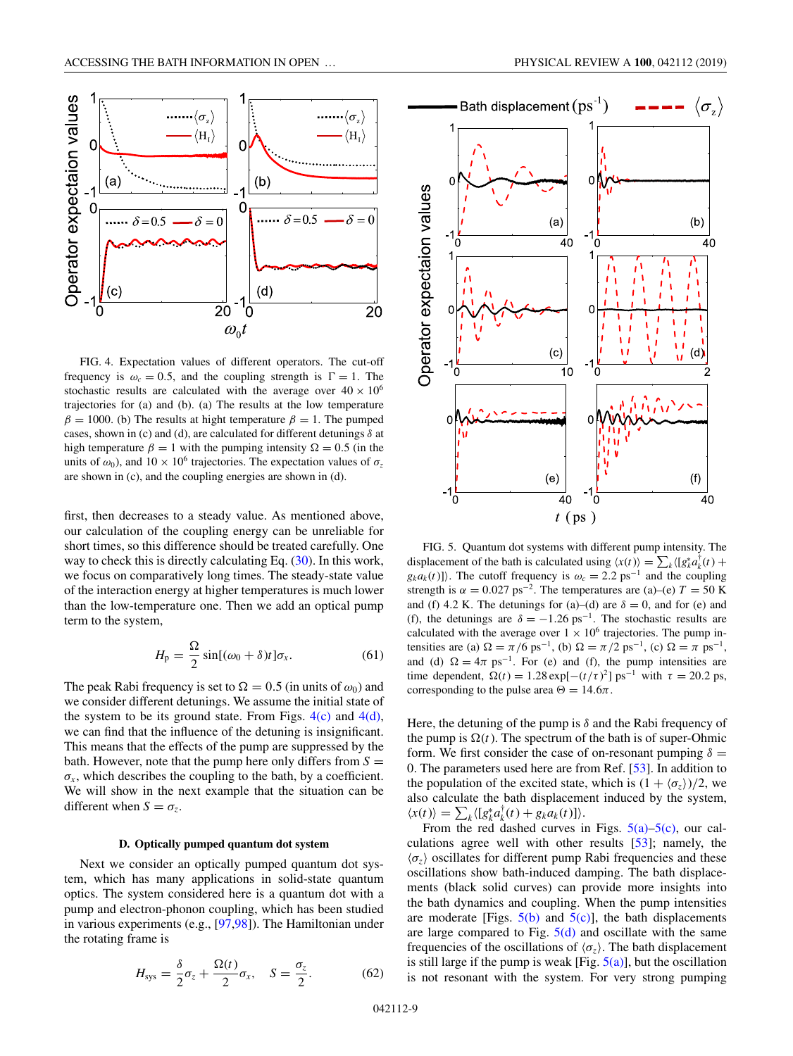<span id="page-8-0"></span>

FIG. 4. Expectation values of different operators. The cut-off frequency is  $\omega_c = 0.5$ , and the coupling strength is  $\Gamma = 1$ . The stochastic results are calculated with the average over  $40 \times 10^6$ trajectories for (a) and (b). (a) The results at the low temperature  $\beta = 1000$ . (b) The results at hight temperature  $\beta = 1$ . The pumped cases, shown in (c) and (d), are calculated for different detunings  $\delta$  at high temperature  $\beta = 1$  with the pumping intensity  $\Omega = 0.5$  (in the units of  $\omega_0$ ), and  $10 \times 10^6$  trajectories. The expectation values of  $\sigma_z$ are shown in (c), and the coupling energies are shown in (d).

first, then decreases to a steady value. As mentioned above, our calculation of the coupling energy can be unreliable for short times, so this difference should be treated carefully. One way to check this is directly calculating Eq. [\(30\)](#page-4-0). In this work, we focus on comparatively long times. The steady-state value of the interaction energy at higher temperatures is much lower than the low-temperature one. Then we add an optical pump term to the system,

$$
H_{\rm p} = \frac{\Omega}{2} \sin[(\omega_0 + \delta)t] \sigma_x.
$$
 (61)

The peak Rabi frequency is set to  $\Omega = 0.5$  (in units of  $\omega_0$ ) and we consider different detunings. We assume the initial state of the system to be its ground state. From Figs.  $4(c)$  and  $4(d)$ , we can find that the influence of the detuning is insignificant. This means that the effects of the pump are suppressed by the bath. However, note that the pump here only differs from  $S =$  $\sigma_x$ , which describes the coupling to the bath, by a coefficient. We will show in the next example that the situation can be different when  $S = \sigma_z$ .

#### **D. Optically pumped quantum dot system**

Next we consider an optically pumped quantum dot system, which has many applications in solid-state quantum optics. The system considered here is a quantum dot with a pump and electron-phonon coupling, which has been studied in various experiments (e.g., [\[97,98\]](#page-15-0)). The Hamiltonian under the rotating frame is

$$
H_{\rm sys} = \frac{\delta}{2}\sigma_z + \frac{\Omega(t)}{2}\sigma_x, \quad S = \frac{\sigma_z}{2}.
$$
 (62)



FIG. 5. Quantum dot systems with different pump intensity. The displacement of the bath is calculated using  $\langle x(t) \rangle = \sum_k \langle [g_k^* a_k^{\dagger}(t) +$  $g_k a_k(t)$ ]). The cutoff frequency is  $\omega_c = 2.2 \text{ ps}^{-1}$  and the coupling strength is  $\alpha = 0.027$  ps<sup>-2</sup>. The temperatures are (a)–(e)  $T = 50$  K and (f) 4.2 K. The detunings for (a)–(d) are  $\delta = 0$ , and for (e) and (f), the detunings are  $\delta = -1.26$  ps<sup>-1</sup>. The stochastic results are calculated with the average over  $1 \times 10^6$  trajectories. The pump intensities are (a)  $\Omega = \pi/6$  ps<sup>-1</sup>, (b)  $\Omega = \pi/2$  ps<sup>-1</sup>, (c)  $\Omega = \pi$  ps<sup>-1</sup>, and (d)  $\Omega = 4\pi$  ps<sup>-1</sup>. For (e) and (f), the pump intensities are time dependent,  $\Omega(t) = 1.28 \exp[-(t/\tau)^2] \text{ ps}^{-1}$  with  $\tau = 20.2 \text{ ps}$ , corresponding to the pulse area  $\Theta = 14.6\pi$ .

 $(e)$ 

40

 $t$  (ps)

 $(f)$ 

40

 $\Omega$ 

Here, the detuning of the pump is  $\delta$  and the Rabi frequency of the pump is  $\Omega(t)$ . The spectrum of the bath is of super-Ohmic form. We first consider the case of on-resonant pumping  $\delta =$ 0. The parameters used here are from Ref. [\[53\]](#page-14-0). In addition to the population of the excited state, which is  $(1 + \langle \sigma_z \rangle)/2$ , we also calculate the bath displacement induced by the system,  $\langle x(t) \rangle = \sum_{k} \langle [g_{k}^{*} a_{k}^{\dagger}(t) + g_{k} a_{k}(t)] \rangle.$ 

From the red dashed curves in Figs.  $5(a)$ – $5(c)$ , our calculations agree well with other results [\[53\]](#page-14-0); namely, the  $\langle \sigma_z \rangle$  oscillates for different pump Rabi frequencies and these oscillations show bath-induced damping. The bath displacements (black solid curves) can provide more insights into the bath dynamics and coupling. When the pump intensities are moderate [Figs.  $5(b)$  and  $5(c)$ ], the bath displacements are large compared to Fig.  $5(d)$  and oscillate with the same frequencies of the oscillations of  $\langle \sigma_z \rangle$ . The bath displacement is still large if the pump is weak [Fig.  $5(a)$ ], but the oscillation is not resonant with the system. For very strong pumping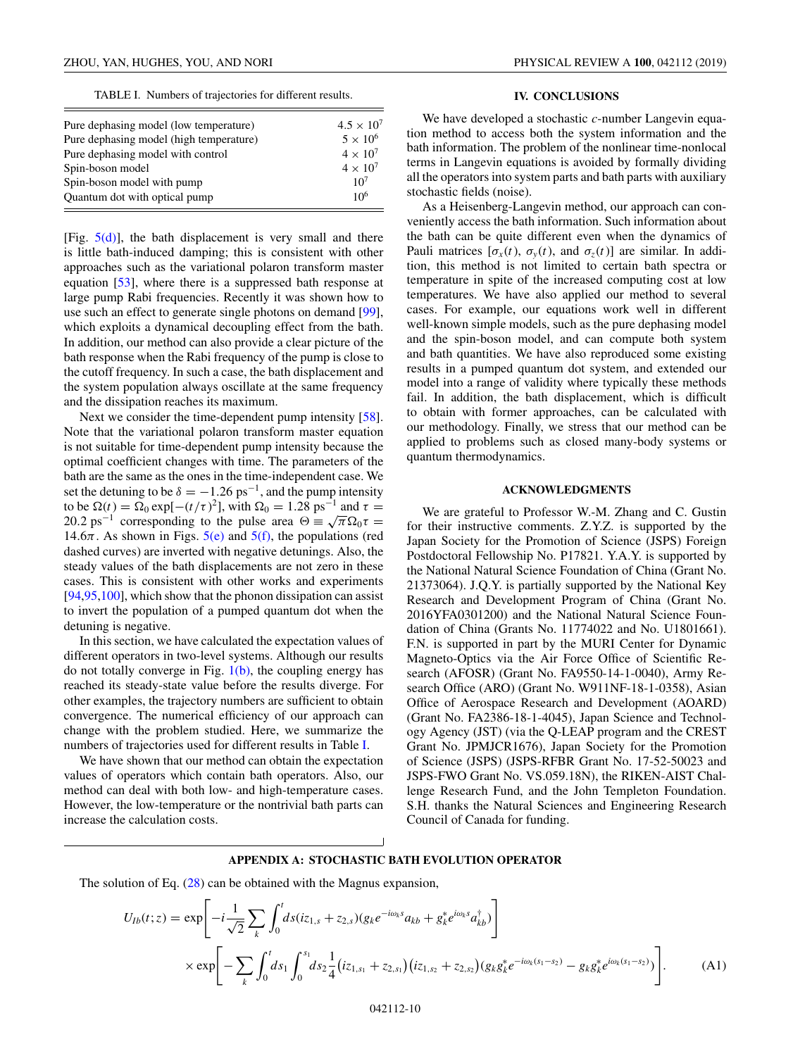TABLE I. Numbers of trajectories for different results.

<span id="page-9-0"></span>

| Pure dephasing model (low temperature)  | $4.5 \times 10^{7}$ |
|-----------------------------------------|---------------------|
| Pure dephasing model (high temperature) | $5 \times 10^6$     |
| Pure dephasing model with control       | $4 \times 10^7$     |
| Spin-boson model                        | $4 \times 10^7$     |
| Spin-boson model with pump              | 10 <sup>7</sup>     |
| Quantum dot with optical pump           | 10 <sup>6</sup>     |

[Fig.  $5(d)$ ], the bath displacement is very small and there is little bath-induced damping; this is consistent with other approaches such as the variational polaron transform master equation [\[53\]](#page-14-0), where there is a suppressed bath response at large pump Rabi frequencies. Recently it was shown how to use such an effect to generate single photons on demand [\[99\]](#page-15-0), which exploits a dynamical decoupling effect from the bath. In addition, our method can also provide a clear picture of the bath response when the Rabi frequency of the pump is close to the cutoff frequency. In such a case, the bath displacement and the system population always oscillate at the same frequency and the dissipation reaches its maximum.

Next we consider the time-dependent pump intensity [\[58\]](#page-14-0). Note that the variational polaron transform master equation is not suitable for time-dependent pump intensity because the optimal coefficient changes with time. The parameters of the bath are the same as the ones in the time-independent case. We set the detuning to be  $\delta = -1.26 \text{ ps}^{-1}$ , and the pump intensity to be  $\Omega(t) = \Omega_0 \exp[-(t/\tau)^2]$ , with  $\Omega_0 = 1.28 \text{ ps}^{-1}$  and  $\tau =$ 20.2 ps<sup>-1</sup> corresponding to the pulse area  $\Theta = \sqrt{\pi} \Omega_0 \tau =$ 14.6 $\pi$ . As shown in Figs. [5\(e\)](#page-8-0) and [5\(f\),](#page-8-0) the populations (red dashed curves) are inverted with negative detunings. Also, the steady values of the bath displacements are not zero in these cases. This is consistent with other works and experiments [\[94,95,100\]](#page-15-0), which show that the phonon dissipation can assist to invert the population of a pumped quantum dot when the detuning is negative.

In this section, we have calculated the expectation values of different operators in two-level systems. Although our results do not totally converge in Fig.  $1(b)$ , the coupling energy has reached its steady-state value before the results diverge. For other examples, the trajectory numbers are sufficient to obtain convergence. The numerical efficiency of our approach can change with the problem studied. Here, we summarize the numbers of trajectories used for different results in Table I.

We have shown that our method can obtain the expectation values of operators which contain bath operators. Also, our method can deal with both low- and high-temperature cases. However, the low-temperature or the nontrivial bath parts can increase the calculation costs.

#### **IV. CONCLUSIONS**

We have developed a stochastic *c*-number Langevin equation method to access both the system information and the bath information. The problem of the nonlinear time-nonlocal terms in Langevin equations is avoided by formally dividing all the operators into system parts and bath parts with auxiliary stochastic fields (noise).

As a Heisenberg-Langevin method, our approach can conveniently access the bath information. Such information about the bath can be quite different even when the dynamics of Pauli matrices  $[\sigma_x(t), \sigma_y(t), \text{ and } \sigma_z(t)]$  are similar. In addition, this method is not limited to certain bath spectra or temperature in spite of the increased computing cost at low temperatures. We have also applied our method to several cases. For example, our equations work well in different well-known simple models, such as the pure dephasing model and the spin-boson model, and can compute both system and bath quantities. We have also reproduced some existing results in a pumped quantum dot system, and extended our model into a range of validity where typically these methods fail. In addition, the bath displacement, which is difficult to obtain with former approaches, can be calculated with our methodology. Finally, we stress that our method can be applied to problems such as closed many-body systems or quantum thermodynamics.

### **ACKNOWLEDGMENTS**

We are grateful to Professor W.-M. Zhang and C. Gustin for their instructive comments. Z.Y.Z. is supported by the Japan Society for the Promotion of Science (JSPS) Foreign Postdoctoral Fellowship No. P17821. Y.A.Y. is supported by the National Natural Science Foundation of China (Grant No. 21373064). J.Q.Y. is partially supported by the National Key Research and Development Program of China (Grant No. 2016YFA0301200) and the National Natural Science Foundation of China (Grants No. 11774022 and No. U1801661). F.N. is supported in part by the MURI Center for Dynamic Magneto-Optics via the Air Force Office of Scientific Research (AFOSR) (Grant No. FA9550-14-1-0040), Army Research Office (ARO) (Grant No. W911NF-18-1-0358), Asian Office of Aerospace Research and Development (AOARD) (Grant No. FA2386-18-1-4045), Japan Science and Technology Agency (JST) (via the Q-LEAP program and the CREST Grant No. JPMJCR1676), Japan Society for the Promotion of Science (JSPS) (JSPS-RFBR Grant No. 17-52-50023 and JSPS-FWO Grant No. VS.059.18N), the RIKEN-AIST Challenge Research Fund, and the John Templeton Foundation. S.H. thanks the Natural Sciences and Engineering Research Council of Canada for funding.

## **APPENDIX A: STOCHASTIC BATH EVOLUTION OPERATOR**

The solution of Eq. [\(28\)](#page-3-0) can be obtained with the Magnus expansion,

$$
U_{1b}(t; z) = \exp\left[-i\frac{1}{\sqrt{2}}\sum_{k}\int_{0}^{t}ds (iz_{1,s} + z_{2,s})(g_{k}e^{-i\omega_{k}s}a_{kb} + g_{k}^{*}e^{i\omega_{k}s}a_{kb}^{\dagger})\right] \times \exp\left[-\sum_{k}\int_{0}^{t}ds_{1}\int_{0}^{s_{1}}ds_{2}\frac{1}{4}(iz_{1,s_{1}} + z_{2,s_{1}})(iz_{1,s_{2}} + z_{2,s_{2}})(g_{k}g_{k}^{*}e^{-i\omega_{k}(s_{1}-s_{2})} - g_{k}g_{k}^{*}e^{i\omega_{k}(s_{1}-s_{2})})\right].
$$
 (A1)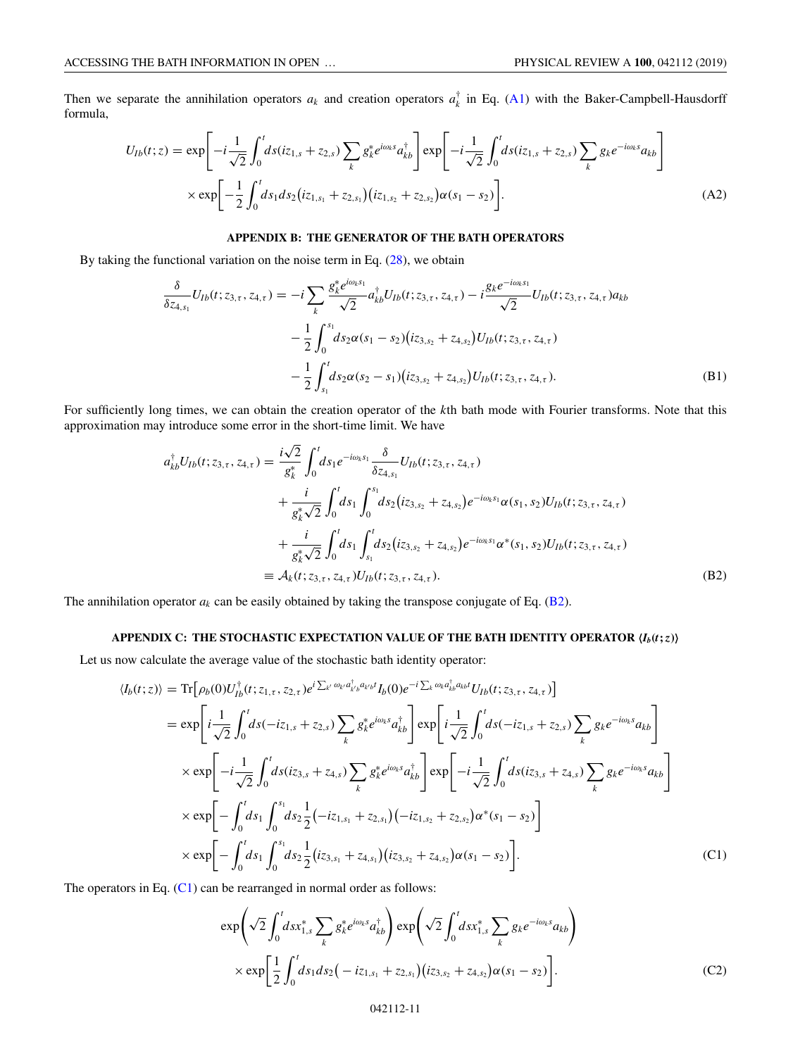<span id="page-10-0"></span>Then we separate the annihilation operators  $a_k$  and creation operators  $a_k^{\dagger}$  in Eq. [\(A1\)](#page-9-0) with the Baker-Campbell-Hausdorff formula,

$$
U_{1b}(t; z) = \exp\left[-i\frac{1}{\sqrt{2}}\int_{0}^{t} ds(iz_{1,s} + z_{2,s})\sum_{k} g_{k}^{*}e^{i\omega_{k}s}a_{kb}^{\dagger}\right]\exp\left[-i\frac{1}{\sqrt{2}}\int_{0}^{t} ds(iz_{1,s} + z_{2,s})\sum_{k} g_{k}e^{-i\omega_{k}s}a_{kb}\right]
$$

$$
\times \exp\left[-\frac{1}{2}\int_{0}^{t} ds_{1}ds_{2}(iz_{1,s_{1}} + z_{2,s_{1}})(iz_{1,s_{2}} + z_{2,s_{2}})\alpha(s_{1} - s_{2})\right].
$$
(A2)

## **APPENDIX B: THE GENERATOR OF THE BATH OPERATORS**

By taking the functional variation on the noise term in Eq.  $(28)$ , we obtain

$$
\frac{\delta}{\delta z_{4,s_1}} U_{1b}(t; z_{3,\tau}, z_{4,\tau}) = -i \sum_{k} \frac{g_k^* e^{i\omega_k s_1}}{\sqrt{2}} a_{kb}^\dagger U_{1b}(t; z_{3,\tau}, z_{4,\tau}) - i \frac{g_k e^{-i\omega_k s_1}}{\sqrt{2}} U_{1b}(t; z_{3,\tau}, z_{4,\tau}) a_{kb}
$$

$$
- \frac{1}{2} \int_0^{s_1} ds_2 \alpha(s_1 - s_2) (iz_{3,s_2} + z_{4,s_2}) U_{1b}(t; z_{3,\tau}, z_{4,\tau})
$$

$$
- \frac{1}{2} \int_{s_1}^t ds_2 \alpha(s_2 - s_1) (iz_{3,s_2} + z_{4,s_2}) U_{1b}(t; z_{3,\tau}, z_{4,\tau}). \tag{B1}
$$

For sufficiently long times, we can obtain the creation operator of the *k*th bath mode with Fourier transforms. Note that this approximation may introduce some error in the short-time limit. We have

$$
a_{kb}^{\dagger}U_{lb}(t; z_{3,\tau}, z_{4,\tau}) = \frac{i\sqrt{2}}{g_k^*} \int_0^t ds_1 e^{-i\omega_k s_1} \frac{\delta}{\delta z_{4,s_1}} U_{lb}(t; z_{3,\tau}, z_{4,\tau}) + \frac{i}{g_k^* \sqrt{2}} \int_0^t ds_1 \int_0^{s_1} ds_2 (iz_{3,s_2} + z_{4,s_2}) e^{-i\omega_k s_1} \alpha(s_1, s_2) U_{lb}(t; z_{3,\tau}, z_{4,\tau}) + \frac{i}{g_k^* \sqrt{2}} \int_0^t ds_1 \int_{s_1}^t ds_2 (iz_{3,s_2} + z_{4,s_2}) e^{-i\omega_k s_1} \alpha^*(s_1, s_2) U_{lb}(t; z_{3,\tau}, z_{4,\tau}) \n\equiv A_k(t; z_{3,\tau}, z_{4,\tau}) U_{lb}(t; z_{3,\tau}, z_{4,\tau}).
$$
\n(B2)

The annihilation operator  $a_k$  can be easily obtained by taking the transpose conjugate of Eq. (B2).

## $\mathbf{APPENDIX}$  C: THE STOCHASTIC EXPECTATION VALUE OF THE BATH IDENTITY OPERATOR  $\langle \mathbf{I}_b(t;\mathbf{z}) \rangle$

Let us now calculate the average value of the stochastic bath identity operator:

$$
\langle I_{b}(t;z)\rangle = \text{Tr}[\rho_{b}(0)U_{1b}^{\dagger}(t;z_{1,\tau},z_{2,\tau})e^{i\sum_{k'}\omega_{k'}a_{k'b}^{\dagger}t}I_{b}(0)e^{-i\sum_{k}\omega_{k}a_{k'b}^{\dagger}t}U_{1b}(t;z_{3,\tau},z_{4,\tau})]
$$
\n
$$
= \exp\left[i\frac{1}{\sqrt{2}}\int_{0}^{t}ds(-iz_{1,s}+z_{2,s})\sum_{k}g_{k}^{*}e^{i\omega_{k}s}a_{k b}^{\dagger}\right]\exp\left[i\frac{1}{\sqrt{2}}\int_{0}^{t}ds(-iz_{1,s}+z_{2,s})\sum_{k}g_{k}e^{-i\omega_{k}s}a_{k b}\right]
$$
\n
$$
\times \exp\left[-i\frac{1}{\sqrt{2}}\int_{0}^{t}ds(iz_{3,s}+z_{4,s})\sum_{k}g_{k}^{*}e^{i\omega_{k}s}a_{k b}^{\dagger}\right]\exp\left[-i\frac{1}{\sqrt{2}}\int_{0}^{t}ds(iz_{3,s}+z_{4,s})\sum_{k}g_{k}e^{-i\omega_{k}s}a_{k b}\right]
$$
\n
$$
\times \exp\left[-\int_{0}^{t}ds_{1}\int_{0}^{s_{1}}ds_{2}\frac{1}{2}(-iz_{1,s_{1}}+z_{2,s_{1}})(-iz_{1,s_{2}}+z_{2,s_{2}})\alpha^{*}(s_{1}-s_{2})\right]
$$
\n
$$
\times \exp\left[-\int_{0}^{t}ds_{1}\int_{0}^{s_{1}}ds_{2}\frac{1}{2}(iz_{3,s_{1}}+z_{4,s_{1}})(iz_{3,s_{2}}+z_{4,s_{2}})\alpha(s_{1}-s_{2})\right].
$$
\n(C1)

The operators in Eq. (C1) can be rearranged in normal order as follows:

$$
\exp\left(\sqrt{2}\int_0^t ds x_{1,s}^* \sum_k g_k^* e^{i\omega_k s} a_{kb}^{\dagger}\right) \exp\left(\sqrt{2}\int_0^t ds x_{1,s}^* \sum_k g_k e^{-i\omega_k s} a_{kb}\right) \times \exp\left[\frac{1}{2}\int_0^t ds_1 ds_2\big(-iz_{1,s_1}+z_{2,s_1}\big)\big(iz_{3,s_2}+z_{4,s_2}\big)\alpha(s_1-s_2)\right].
$$
\n(C2)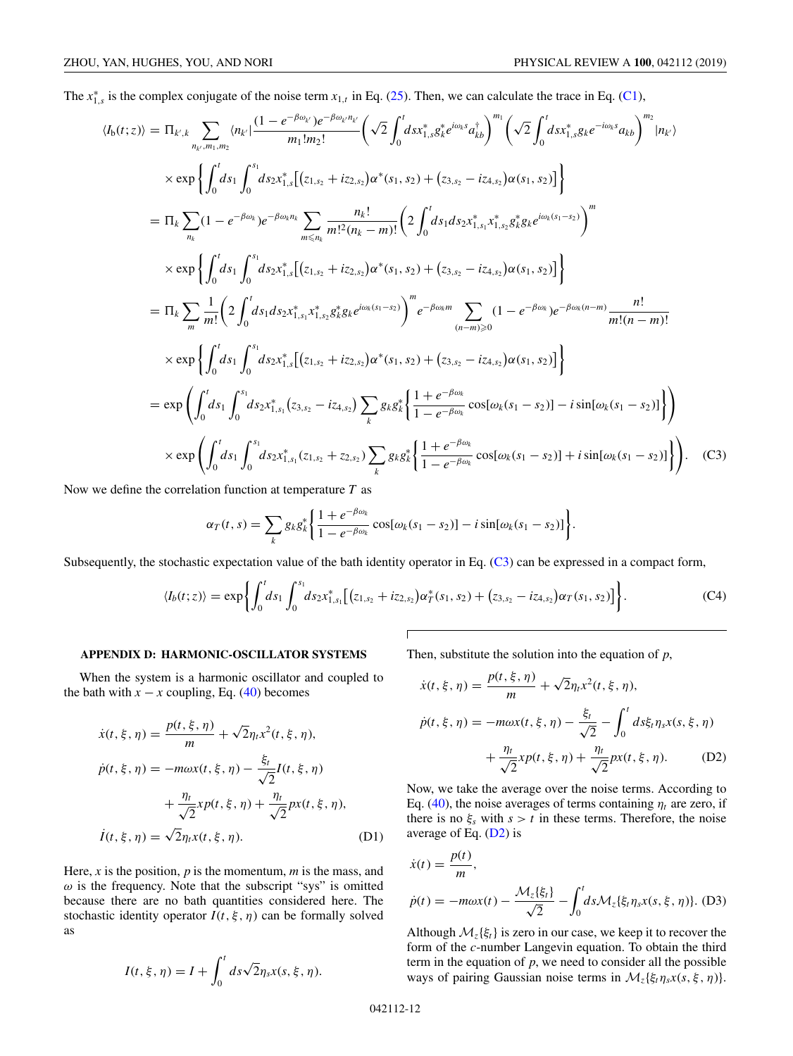<span id="page-11-0"></span>The  $x_{1,s}^*$  is the complex conjugate of the noise term  $x_{1,t}$  in Eq. [\(25\)](#page-3-0). Then, we can calculate the trace in Eq. [\(C1\)](#page-10-0),

$$
\langle I_{b}(t;z)\rangle = \Pi_{k,k} \sum_{n_{k},m_{1},m_{2}} \langle n_{k}| \frac{(1 - e^{-\beta \omega_{k}})e^{-\beta \omega_{k}n_{k}}}{m_{1}!m_{2}!} \left(\sqrt{2} \int_{0}^{t} ds x_{1,s}^{*} g_{k}^{*} e^{i\omega_{k} s} a_{kb}^{*} \right)^{m_{1}} \left(\sqrt{2} \int_{0}^{t} ds x_{1,s}^{*} g_{k} e^{-i\omega_{k} s} a_{kb} \right)^{m_{2}} |n_{k}\rangle
$$
  
\n
$$
\times \exp \left\{ \int_{0}^{t} ds_{1} \int_{0}^{s_{1}} ds_{2} x_{1,s}^{*} \left[ (z_{1,s_{2}} + iz_{2,s_{2}}) \alpha^{*}(s_{1}, s_{2}) + (z_{3,s_{2}} - iz_{4,s_{2}}) \alpha(s_{1}, s_{2}) \right] \right\}
$$
  
\n
$$
= \Pi_{k} \sum_{n_{k}} (1 - e^{-\beta \omega_{k}}) e^{-\beta \omega_{k}n_{k}} \sum_{m \le n_{k}} \frac{n_{k}!}{m!^{2} (n_{k} - m)!} \left( 2 \int_{0}^{t} ds_{1} ds_{2} x_{1,s_{1}}^{*} x_{1,s_{2}}^{*} g_{k}^{*} g_{k} e^{i\omega_{k}(s_{1}-s_{2})} \right)^{m}
$$
  
\n
$$
\times \exp \left\{ \int_{0}^{t} ds_{1} \int_{0}^{s_{1}} ds_{2} x_{1,s}^{*} \left[ (z_{1,s_{2}} + iz_{2,s_{2}}) \alpha^{*}(s_{1}, s_{2}) + (z_{3,s_{2}} - iz_{4,s_{2}}) \alpha(s_{1}, s_{2}) \right] \right\}
$$
  
\n
$$
= \Pi_{k} \sum_{m} \frac{1}{m!} \left( 2 \int_{0}^{t} ds_{1} ds_{2} x_{1,s_{1}}^{*} \left[ (z_{1,s_{2}} + iz_{2,s_{2}}) \alpha^{*}(s_{1}, s_{2}) + (z_{3,s_{2}} - iz_{4,s_{2}}) \alpha(s_{1}, s_{2}) \right] \right\}
$$
  
\n
$$
\times \exp \left\{ \int_{0}^{t} ds_{1} \int_{0}^{s_{1}} ds_{2
$$

Now we define the correlation function at temperature *T* as

$$
\alpha_T(t,s)=\sum_k g_k g_k^* \bigg\{\frac{1+e^{-\beta\omega_k}}{1-e^{-\beta\omega_k}}\cos[\omega_k(s_1-s_2)]-i\sin[\omega_k(s_1-s_2)]\bigg\}.
$$

Subsequently, the stochastic expectation value of the bath identity operator in Eq.  $(C3)$  can be expressed in a compact form,

Г

$$
\langle I_b(t;z)\rangle = \exp\bigg\{\int_0^t ds_1 \int_0^{s_1} ds_2 x_{1,s_1}^* \big[(z_{1,s_2} + iz_{2,s_2})\alpha_T^*(s_1,s_2) + (z_{3,s_2} - iz_{4,s_2})\alpha_T(s_1,s_2)\big]\bigg\}.
$$
 (C4)

#### **APPENDIX D: HARMONIC-OSCILLATOR SYSTEMS**

When the system is a harmonic oscillator and coupled to the bath with  $x - x$  coupling, Eq. [\(40\)](#page-5-0) becomes

$$
\dot{x}(t, \xi, \eta) = \frac{p(t, \xi, \eta)}{m} + \sqrt{2}\eta_t x^2(t, \xi, \eta),
$$
  
\n
$$
\dot{p}(t, \xi, \eta) = -m\omega x(t, \xi, \eta) - \frac{\xi_t}{\sqrt{2}}I(t, \xi, \eta)
$$
  
\n
$$
+ \frac{\eta_t}{\sqrt{2}}x p(t, \xi, \eta) + \frac{\eta_t}{\sqrt{2}}p x(t, \xi, \eta),
$$
  
\n
$$
\dot{I}(t, \xi, \eta) = \sqrt{2}\eta_t x(t, \xi, \eta).
$$
 (D1)

Here, *x* is the position, *p* is the momentum, *m* is the mass, and  $\omega$  is the frequency. Note that the subscript "sys" is omitted because there are no bath quantities considered here. The stochastic identity operator  $I(t, \xi, \eta)$  can be formally solved as

$$
I(t, \xi, \eta) = I + \int_0^t ds \sqrt{2} \eta_s x(s, \xi, \eta).
$$

Then, substitute the solution into the equation of *p*,

$$
\dot{x}(t, \xi, \eta) = \frac{p(t, \xi, \eta)}{m} + \sqrt{2}\eta_t x^2(t, \xi, \eta),
$$
  

$$
\dot{p}(t, \xi, \eta) = -m\omega x(t, \xi, \eta) - \frac{\xi_t}{\sqrt{2}} - \int_0^t ds \xi_t \eta_s x(s, \xi, \eta) + \frac{\eta_t}{\sqrt{2}} p(x(t, \xi, \eta) + \frac{\eta_t}{\sqrt{2}} p(x(t, \xi, \eta)).
$$
 (D2)

Now, we take the average over the noise terms. According to Eq. [\(40\)](#page-5-0), the noise averages of terms containing  $\eta_t$  are zero, if there is no  $\xi_s$  with  $s > t$  in these terms. Therefore, the noise average of Eq. (D2) is

$$
\dot{x}(t) = \frac{p(t)}{m},
$$
\n
$$
\dot{p}(t) = -m\omega x(t) - \frac{\mathcal{M}_z\{\xi_t\}}{\sqrt{2}} - \int_0^t ds \mathcal{M}_z\{\xi_t \eta_s x(s, \xi, \eta)\}.
$$
 (D3)

Although  $\mathcal{M}_z\{\xi_t\}$  is zero in our case, we keep it to recover the form of the *c*-number Langevin equation. To obtain the third term in the equation of *p*, we need to consider all the possible ways of pairing Gaussian noise terms in  $\mathcal{M}_z\{\xi_t\eta_s x(s,\xi,\eta)\}.$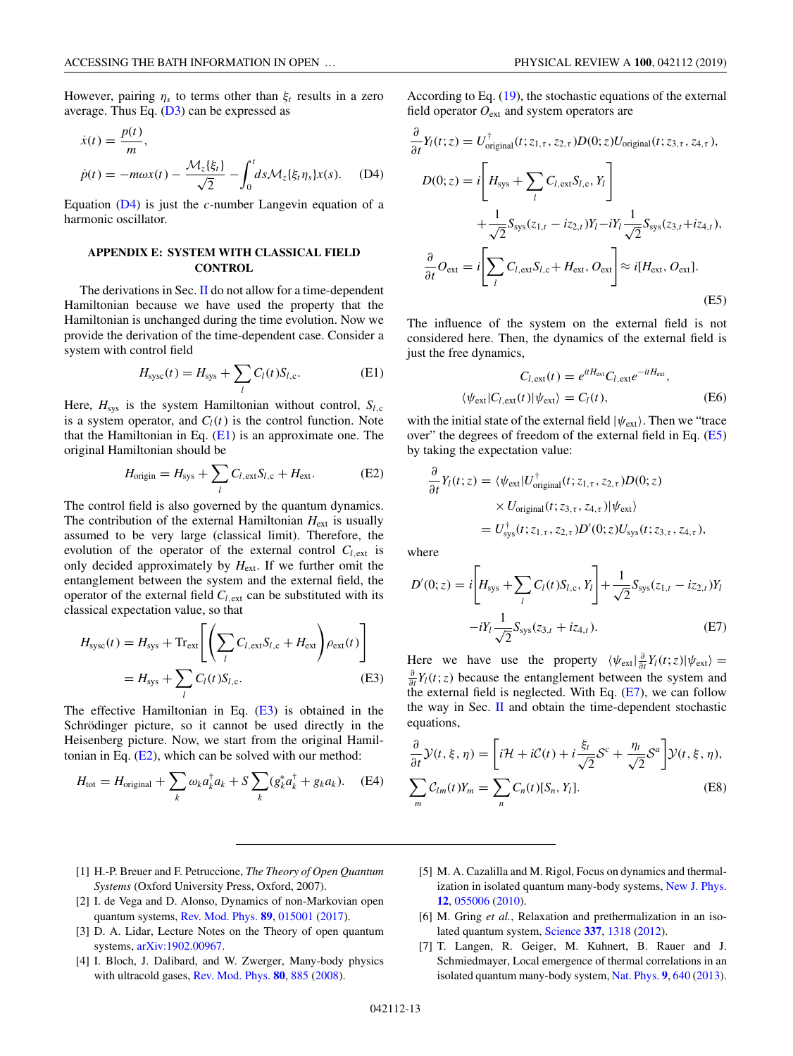<span id="page-12-0"></span>However, pairing  $\eta_s$  to terms other than  $\xi_t$  results in a zero average. Thus Eq.  $(D3)$  can be expressed as

$$
\dot{x}(t) = \frac{p(t)}{m},
$$
\n
$$
\dot{p}(t) = -m\omega x(t) - \frac{\mathcal{M}_z\{\xi_t\}}{\sqrt{2}} - \int_0^t ds \mathcal{M}_z\{\xi_t \eta_s\} x(s). \quad (D4)
$$

Equation (D4) is just the *c*-number Langevin equation of a harmonic oscillator.

## **APPENDIX E: SYSTEM WITH CLASSICAL FIELD CONTROL**

The derivations in Sec. [II](#page-1-0) do not allow for a time-dependent Hamiltonian because we have used the property that the Hamiltonian is unchanged during the time evolution. Now we provide the derivation of the time-dependent case. Consider a system with control field

$$
H_{\rm{sysc}}(t) = H_{\rm{sys}} + \sum_{l} C_l(t) S_{l,c}.
$$
 (E1)

Here,  $H_{sys}$  is the system Hamiltonian without control,  $S_{l,c}$ is a system operator, and  $C_l(t)$  is the control function. Note that the Hamiltonian in Eq.  $(E1)$  is an approximate one. The original Hamiltonian should be

$$
H_{\text{origin}} = H_{\text{sys}} + \sum_{l} C_{l,\text{ext}} S_{l,\text{c}} + H_{\text{ext}}.\tag{E2}
$$

The control field is also governed by the quantum dynamics. The contribution of the external Hamiltonian  $H_{ext}$  is usually assumed to be very large (classical limit). Therefore, the evolution of the operator of the external control  $C_{l,ext}$  is only decided approximately by  $H_{ext}$ . If we further omit the entanglement between the system and the external field, the operator of the external field  $C_{l,ext}$  can be substituted with its classical expectation value, so that

$$
H_{\text{sysc}}(t) = H_{\text{sys}} + \text{Tr}_{\text{ext}} \left[ \left( \sum_{l} C_{l, \text{ext}} S_{l, \text{c}} + H_{\text{ext}} \right) \rho_{\text{ext}}(t) \right]
$$

$$
= H_{\text{sys}} + \sum_{l} C_{l}(t) S_{l, \text{c}}.
$$
(E3)

The effective Hamiltonian in Eq.  $(E3)$  is obtained in the Schrödinger picture, so it cannot be used directly in the Heisenberg picture. Now, we start from the original Hamiltonian in Eq.  $(E2)$ , which can be solved with our method:

$$
H_{\text{tot}} = H_{\text{original}} + \sum_{k} \omega_k a_k^{\dagger} a_k + S \sum_{k} (g_k^* a_k^{\dagger} + g_k a_k). \quad (E4)
$$

According to Eq.  $(19)$ , the stochastic equations of the external field operator *O*ext and system operators are

$$
\frac{\partial}{\partial t}Y_l(t; z) = U_{\text{original}}^{\dagger}(t; z_{1, \tau}, z_{2, \tau})D(0; z)U_{\text{original}}(t; z_{3, \tau}, z_{4, \tau}),
$$
\n
$$
D(0; z) = i \left[ H_{\text{sys}} + \sum_{l} C_{l, \text{ext}} S_{l, \text{c}}, Y_l \right]
$$
\n
$$
+ \frac{1}{\sqrt{2}} S_{\text{sys}}(z_{1, t} - iz_{2, t}) Y_l - i Y_l \frac{1}{\sqrt{2}} S_{\text{sys}}(z_{3, t} + iz_{4, t}),
$$
\n
$$
\frac{\partial}{\partial t} O_{\text{ext}} = i \left[ \sum_{l} C_{l, \text{ext}} S_{l, \text{c}} + H_{\text{ext}}, O_{\text{ext}} \right] \approx i [H_{\text{ext}}, O_{\text{ext}}].
$$
\n(E5)

The influence of the system on the external field is not considered here. Then, the dynamics of the external field is just the free dynamics,

$$
C_{l, \text{ext}}(t) = e^{itH_{\text{ext}}} C_{l, \text{ext}} e^{-itH_{\text{ext}}},
$$
  

$$
\langle \psi_{\text{ext}} | C_{l, \text{ext}}(t) | \psi_{\text{ext}} \rangle = C_l(t),
$$
 (E6)

with the initial state of the external field  $|\psi_{ext}\rangle$ . Then we "trace over" the degrees of freedom of the external field in Eq.  $(E5)$ by taking the expectation value:

$$
\frac{\partial}{\partial t} Y_l(t; z) = \langle \psi_{\text{ext}} | U_{\text{original}}^{\dagger}(t; z_{1, \tau}, z_{2, \tau}) D(0; z) \times U_{\text{original}}(t; z_{3, \tau}, z_{4, \tau}) | \psi_{\text{ext}} \rangle \n= U_{\text{sys}}^{\dagger}(t; z_{1, \tau}, z_{2, \tau}) D'(0; z) U_{\text{sys}}(t; z_{3, \tau}, z_{4, \tau}),
$$

where

$$
D'(0; z) = i \left[ H_{\text{sys}} + \sum_{l} C_{l}(t) S_{l, c}, Y_{l} \right] + \frac{1}{\sqrt{2}} S_{\text{sys}}(z_{1, t} - iz_{2, t}) Y_{l}
$$

$$
-i Y_{l} \frac{1}{\sqrt{2}} S_{\text{sys}}(z_{3, t} + iz_{4, t}). \tag{E7}
$$

Here we have use the property  $\langle \psi_{ext} | \frac{\partial}{\partial t} Y_l(t; z) | \psi_{ext} \rangle =$  $\frac{\partial}{\partial t}Y_l(t; z)$  because the entanglement between the system and the external field is neglected. With Eq.  $(E7)$ , we can follow the way in Sec.  $\mathbf{II}$  $\mathbf{II}$  $\mathbf{II}$  and obtain the time-dependent stochastic equations,

$$
\frac{\partial}{\partial t} \mathcal{Y}(t, \xi, \eta) = \left[ i\mathcal{H} + i\mathcal{C}(t) + i\frac{\xi_t}{\sqrt{2}} \mathcal{S}^c + \frac{\eta_t}{\sqrt{2}} \mathcal{S}^a \right] \mathcal{Y}(t, \xi, \eta),
$$
\n
$$
\sum_m \mathcal{C}_{lm}(t) Y_m = \sum_n \mathcal{C}_n(t) [S_n, Y_l].
$$
\n(E8)

- [1] H.-P. Breuer and F. Petruccione, *The Theory of Open Quantum Systems* (Oxford University Press, Oxford, 2007).
- [2] I. de Vega and D. Alonso, Dynamics of non-Markovian open quantum systems, [Rev. Mod. Phys.](https://doi.org/10.1103/RevModPhys.89.015001) **[89](https://doi.org/10.1103/RevModPhys.89.015001)**, [015001](https://doi.org/10.1103/RevModPhys.89.015001) [\(2017\)](https://doi.org/10.1103/RevModPhys.89.015001).
- [3] D. A. Lidar, Lecture Notes on the Theory of open quantum systems, [arXiv:1902.00967.](http://arxiv.org/abs/arXiv:1902.00967)
- [4] I. Bloch, J. Dalibard, and W. Zwerger, Many-body physics with ultracold gases, [Rev. Mod. Phys.](https://doi.org/10.1103/RevModPhys.80.885) **[80](https://doi.org/10.1103/RevModPhys.80.885)**, [885](https://doi.org/10.1103/RevModPhys.80.885) [\(2008\)](https://doi.org/10.1103/RevModPhys.80.885).
- [5] M. A. Cazalilla and M. Rigol, Focus on dynamics and thermalization in isolated quantum many-body systems, [New J. Phys.](https://doi.org/10.1088/1367-2630/12/5/055006) **[12](https://doi.org/10.1088/1367-2630/12/5/055006)**, [055006](https://doi.org/10.1088/1367-2630/12/5/055006) [\(2010\)](https://doi.org/10.1088/1367-2630/12/5/055006).
- [6] M. Gring *et al.*, Relaxation and prethermalization in an isolated quantum system, [Science](https://doi.org/10.1126/science.1224953) **[337](https://doi.org/10.1126/science.1224953)**, [1318](https://doi.org/10.1126/science.1224953) [\(2012\)](https://doi.org/10.1126/science.1224953).
- [7] T. Langen, R. Geiger, M. Kuhnert, B. Rauer and J. Schmiedmayer, Local emergence of thermal correlations in an isolated quantum many-body system, [Nat. Phys.](https://doi.org/10.1038/nphys2739) **[9](https://doi.org/10.1038/nphys2739)**, [640](https://doi.org/10.1038/nphys2739) [\(2013\)](https://doi.org/10.1038/nphys2739).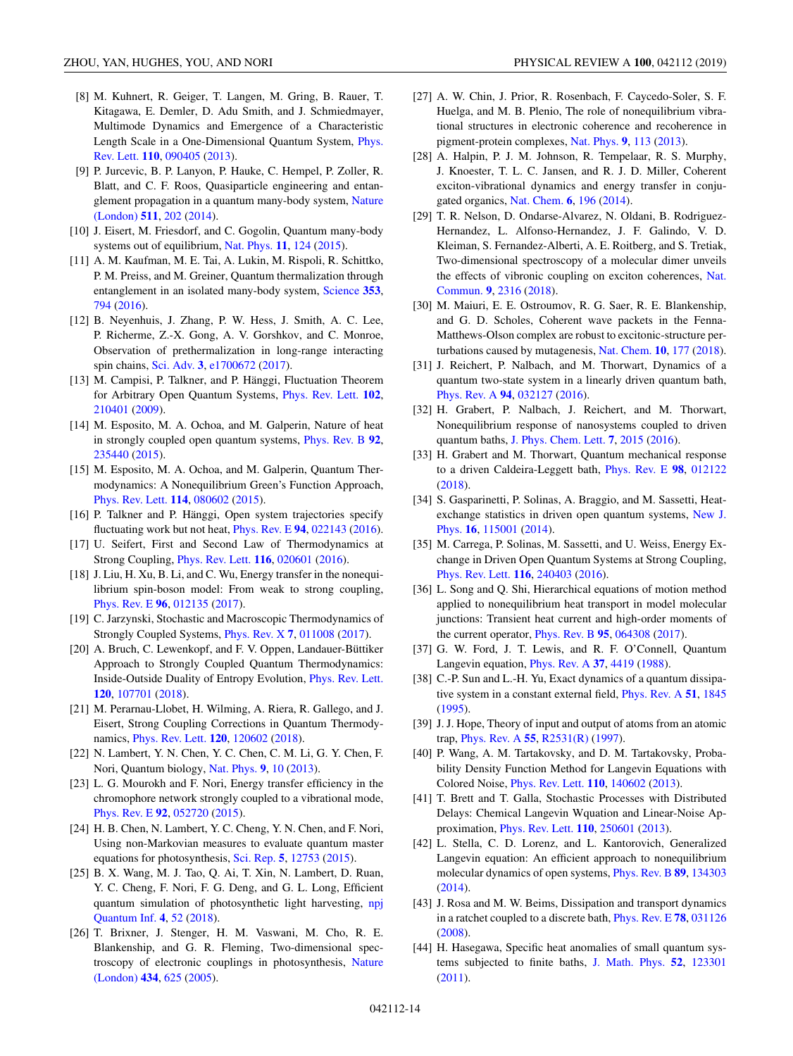- <span id="page-13-0"></span>[8] M. Kuhnert, R. Geiger, T. Langen, M. Gring, B. Rauer, T. Kitagawa, E. Demler, D. Adu Smith, and J. Schmiedmayer, Multimode Dynamics and Emergence of a Characteristic [Length Scale in a One-Dimensional Quantum System,](https://doi.org/10.1103/PhysRevLett.110.090405) Phys. Rev. Lett. **[110](https://doi.org/10.1103/PhysRevLett.110.090405)**, [090405](https://doi.org/10.1103/PhysRevLett.110.090405) [\(2013\)](https://doi.org/10.1103/PhysRevLett.110.090405).
- [9] P. Jurcevic, B. P. Lanyon, P. Hauke, C. Hempel, P. Zoller, R. Blatt, and C. F. Roos, Quasiparticle engineering and entan[glement propagation in a quantum many-body system,](https://doi.org/10.1038/nature13461) Nature (London) **[511](https://doi.org/10.1038/nature13461)**, [202](https://doi.org/10.1038/nature13461) [\(2014\)](https://doi.org/10.1038/nature13461).
- [10] J. Eisert, M. Friesdorf, and C. Gogolin, Quantum many-body systems out of equilibrium, [Nat. Phys.](https://doi.org/10.1038/nphys3215) **[11](https://doi.org/10.1038/nphys3215)**, [124](https://doi.org/10.1038/nphys3215) [\(2015\)](https://doi.org/10.1038/nphys3215).
- [11] A. M. Kaufman, M. E. Tai, A. Lukin, M. Rispoli, R. Schittko, P. M. Preiss, and M. Greiner, Quantum thermalization through entanglement in an isolated many-body system, [Science](https://doi.org/10.1126/science.aaf6725) **[353](https://doi.org/10.1126/science.aaf6725)**, [794](https://doi.org/10.1126/science.aaf6725) [\(2016\)](https://doi.org/10.1126/science.aaf6725).
- [12] B. Neyenhuis, J. Zhang, P. W. Hess, J. Smith, A. C. Lee, P. Richerme, Z.-X. Gong, A. V. Gorshkov, and C. Monroe, Observation of prethermalization in long-range interacting spin chains, [Sci. Adv.](https://doi.org/10.1126/sciadv.1700672) **[3](https://doi.org/10.1126/sciadv.1700672)**, [e1700672](https://doi.org/10.1126/sciadv.1700672) [\(2017\)](https://doi.org/10.1126/sciadv.1700672).
- [13] M. Campisi, P. Talkner, and P. Hänggi, Fluctuation Theorem for Arbitrary Open Quantum Systems, [Phys. Rev. Lett.](https://doi.org/10.1103/PhysRevLett.102.210401) **[102](https://doi.org/10.1103/PhysRevLett.102.210401)**, [210401](https://doi.org/10.1103/PhysRevLett.102.210401) [\(2009\)](https://doi.org/10.1103/PhysRevLett.102.210401).
- [14] M. Esposito, M. A. Ochoa, and M. Galperin, Nature of heat in strongly coupled open quantum systems, [Phys. Rev. B](https://doi.org/10.1103/PhysRevB.92.235440) **[92](https://doi.org/10.1103/PhysRevB.92.235440)**, [235440](https://doi.org/10.1103/PhysRevB.92.235440) [\(2015\)](https://doi.org/10.1103/PhysRevB.92.235440).
- [15] M. Esposito, M. A. Ochoa, and M. Galperin, Quantum Thermodynamics: A Nonequilibrium Green's Function Approach, [Phys. Rev. Lett.](https://doi.org/10.1103/PhysRevLett.114.080602) **[114](https://doi.org/10.1103/PhysRevLett.114.080602)**, [080602](https://doi.org/10.1103/PhysRevLett.114.080602) [\(2015\)](https://doi.org/10.1103/PhysRevLett.114.080602).
- [16] P. Talkner and P. Hänggi, Open system trajectories specify fluctuating work but not heat, [Phys. Rev. E](https://doi.org/10.1103/PhysRevE.94.022143) **[94](https://doi.org/10.1103/PhysRevE.94.022143)**, [022143](https://doi.org/10.1103/PhysRevE.94.022143) [\(2016\)](https://doi.org/10.1103/PhysRevE.94.022143).
- [17] U. Seifert, First and Second Law of Thermodynamics at Strong Coupling, [Phys. Rev. Lett.](https://doi.org/10.1103/PhysRevLett.116.020601) **[116](https://doi.org/10.1103/PhysRevLett.116.020601)**, [020601](https://doi.org/10.1103/PhysRevLett.116.020601) [\(2016\)](https://doi.org/10.1103/PhysRevLett.116.020601).
- [18] J. Liu, H. Xu, B. Li, and C. Wu, Energy transfer in the nonequilibrium spin-boson model: From weak to strong coupling, [Phys. Rev. E](https://doi.org/10.1103/PhysRevE.96.012135) **[96](https://doi.org/10.1103/PhysRevE.96.012135)**, [012135](https://doi.org/10.1103/PhysRevE.96.012135) [\(2017\)](https://doi.org/10.1103/PhysRevE.96.012135).
- [19] C. Jarzynski, Stochastic and Macroscopic Thermodynamics of Strongly Coupled Systems, [Phys. Rev. X](https://doi.org/10.1103/PhysRevX.7.011008) **[7](https://doi.org/10.1103/PhysRevX.7.011008)**, [011008](https://doi.org/10.1103/PhysRevX.7.011008) [\(2017\)](https://doi.org/10.1103/PhysRevX.7.011008).
- [20] A. Bruch, C. Lewenkopf, and F. V. Oppen, Landauer-Büttiker Approach to Strongly Coupled Quantum Thermodynamics: Inside-Outside Duality of Entropy Evolution, [Phys. Rev. Lett.](https://doi.org/10.1103/PhysRevLett.120.107701) **[120](https://doi.org/10.1103/PhysRevLett.120.107701)**, [107701](https://doi.org/10.1103/PhysRevLett.120.107701) [\(2018\)](https://doi.org/10.1103/PhysRevLett.120.107701).
- [21] M. Perarnau-Llobet, H. Wilming, A. Riera, R. Gallego, and J. Eisert, Strong Coupling Corrections in Quantum Thermodynamics, [Phys. Rev. Lett.](https://doi.org/10.1103/PhysRevLett.120.120602) **[120](https://doi.org/10.1103/PhysRevLett.120.120602)**, [120602](https://doi.org/10.1103/PhysRevLett.120.120602) [\(2018\)](https://doi.org/10.1103/PhysRevLett.120.120602).
- [22] N. Lambert, Y. N. Chen, Y. C. Chen, C. M. Li, G. Y. Chen, F. Nori, Quantum biology, [Nat. Phys.](https://doi.org/10.1038/nphys2474) **[9](https://doi.org/10.1038/nphys2474)**, [10](https://doi.org/10.1038/nphys2474) [\(2013\)](https://doi.org/10.1038/nphys2474).
- [23] L. G. Mourokh and F. Nori, Energy transfer efficiency in the chromophore network strongly coupled to a vibrational mode, [Phys. Rev. E](https://doi.org/10.1103/PhysRevE.92.052720) **[92](https://doi.org/10.1103/PhysRevE.92.052720)**, [052720](https://doi.org/10.1103/PhysRevE.92.052720) [\(2015\)](https://doi.org/10.1103/PhysRevE.92.052720).
- [24] H. B. Chen, N. Lambert, Y. C. Cheng, Y. N. Chen, and F. Nori, Using non-Markovian measures to evaluate quantum master equations for photosynthesis, [Sci. Rep.](https://doi.org/10.1038/srep12753) **[5](https://doi.org/10.1038/srep12753)**, [12753](https://doi.org/10.1038/srep12753) [\(2015\)](https://doi.org/10.1038/srep12753).
- [25] B. X. Wang, M. J. Tao, Q. Ai, T. Xin, N. Lambert, D. Ruan, Y. C. Cheng, F. Nori, F. G. Deng, and G. L. Long, Efficient [quantum simulation of photosynthetic light harvesting,](https://doi.org/10.1038/s41534-018-0102-2) npj Quantum Inf. **[4](https://doi.org/10.1038/s41534-018-0102-2)**, [52](https://doi.org/10.1038/s41534-018-0102-2) [\(2018\)](https://doi.org/10.1038/s41534-018-0102-2).
- [26] T. Brixner, J. Stenger, H. M. Vaswani, M. Cho, R. E. Blankenship, and G. R. Fleming, Two-dimensional spec[troscopy of electronic couplings in photosynthesis,](https://doi.org/10.1038/nature03429) Nature (London) **[434](https://doi.org/10.1038/nature03429)**, [625](https://doi.org/10.1038/nature03429) [\(2005\)](https://doi.org/10.1038/nature03429).
- [27] A. W. Chin, J. Prior, R. Rosenbach, F. Caycedo-Soler, S. F. Huelga, and M. B. Plenio, The role of nonequilibrium vibrational structures in electronic coherence and recoherence in pigment-protein complexes, [Nat. Phys.](https://doi.org/10.1038/nphys2515) **[9](https://doi.org/10.1038/nphys2515)**, [113](https://doi.org/10.1038/nphys2515) [\(2013\)](https://doi.org/10.1038/nphys2515).
- [28] A. Halpin, P. J. M. Johnson, R. Tempelaar, R. S. Murphy, J. Knoester, T. L. C. Jansen, and R. J. D. Miller, Coherent exciton-vibrational dynamics and energy transfer in conjugated organics, [Nat. Chem.](https://doi.org/10.1038/nchem.1834) **[6](https://doi.org/10.1038/nchem.1834)**, [196](https://doi.org/10.1038/nchem.1834) [\(2014\)](https://doi.org/10.1038/nchem.1834).
- [29] T. R. Nelson, D. Ondarse-Alvarez, N. Oldani, B. Rodriguez-Hernandez, L. Alfonso-Hernandez, J. F. Galindo, V. D. Kleiman, S. Fernandez-Alberti, A. E. Roitberg, and S. Tretiak, Two-dimensional spectroscopy of a molecular dimer unveils [the effects of vibronic coupling on exciton coherences,](https://doi.org/10.1038/s41467-018-04694-8) Nat. Commun. **[9](https://doi.org/10.1038/s41467-018-04694-8)**, [2316](https://doi.org/10.1038/s41467-018-04694-8) [\(2018\)](https://doi.org/10.1038/s41467-018-04694-8).
- [30] M. Maiuri, E. E. Ostroumov, R. G. Saer, R. E. Blankenship, and G. D. Scholes, Coherent wave packets in the Fenna-Matthews-Olson complex are robust to excitonic-structure perturbations caused by mutagenesis, [Nat. Chem.](https://doi.org/10.1038/nchem.2910) **[10](https://doi.org/10.1038/nchem.2910)**, [177](https://doi.org/10.1038/nchem.2910) [\(2018\)](https://doi.org/10.1038/nchem.2910).
- [31] J. Reichert, P. Nalbach, and M. Thorwart, Dynamics of a quantum two-state system in a linearly driven quantum bath, [Phys. Rev. A](https://doi.org/10.1103/PhysRevA.94.032127) **[94](https://doi.org/10.1103/PhysRevA.94.032127)**, [032127](https://doi.org/10.1103/PhysRevA.94.032127) [\(2016\)](https://doi.org/10.1103/PhysRevA.94.032127).
- [32] H. Grabert, P. Nalbach, J. Reichert, and M. Thorwart, Nonequilibrium response of nanosystems coupled to driven quantum baths, [J. Phys. Chem. Lett.](https://doi.org/10.1021/acs.jpclett.6b00703) **[7](https://doi.org/10.1021/acs.jpclett.6b00703)**, [2015](https://doi.org/10.1021/acs.jpclett.6b00703) [\(2016\)](https://doi.org/10.1021/acs.jpclett.6b00703).
- [33] H. Grabert and M. Thorwart, Quantum mechanical response to a driven Caldeira-Leggett bath, [Phys. Rev. E](https://doi.org/10.1103/PhysRevE.98.012122) **[98](https://doi.org/10.1103/PhysRevE.98.012122)**, [012122](https://doi.org/10.1103/PhysRevE.98.012122) [\(2018\)](https://doi.org/10.1103/PhysRevE.98.012122).
- [34] S. Gasparinetti, P. Solinas, A. Braggio, and M. Sassetti, Heat[exchange statistics in driven open quantum systems,](https://doi.org/10.1088/1367-2630/16/11/115001) New J. Phys. **[16](https://doi.org/10.1088/1367-2630/16/11/115001)**, [115001](https://doi.org/10.1088/1367-2630/16/11/115001) [\(2014\)](https://doi.org/10.1088/1367-2630/16/11/115001).
- [35] M. Carrega, P. Solinas, M. Sassetti, and U. Weiss, Energy Exchange in Driven Open Quantum Systems at Strong Coupling, [Phys. Rev. Lett.](https://doi.org/10.1103/PhysRevLett.116.240403) **[116](https://doi.org/10.1103/PhysRevLett.116.240403)**, [240403](https://doi.org/10.1103/PhysRevLett.116.240403) [\(2016\)](https://doi.org/10.1103/PhysRevLett.116.240403).
- [36] L. Song and Q. Shi, Hierarchical equations of motion method applied to nonequilibrium heat transport in model molecular junctions: Transient heat current and high-order moments of the current operator, [Phys. Rev. B](https://doi.org/10.1103/PhysRevB.95.064308) **[95](https://doi.org/10.1103/PhysRevB.95.064308)**, [064308](https://doi.org/10.1103/PhysRevB.95.064308) [\(2017\)](https://doi.org/10.1103/PhysRevB.95.064308).
- [37] G. W. Ford, J. T. Lewis, and R. F. O'Connell, Quantum Langevin equation, [Phys. Rev. A](https://doi.org/10.1103/PhysRevA.37.4419) **[37](https://doi.org/10.1103/PhysRevA.37.4419)**, [4419](https://doi.org/10.1103/PhysRevA.37.4419) [\(1988\)](https://doi.org/10.1103/PhysRevA.37.4419).
- [38] C.-P. Sun and L.-H. Yu, Exact dynamics of a quantum dissipative system in a constant external field, [Phys. Rev. A](https://doi.org/10.1103/PhysRevA.51.1845) **[51](https://doi.org/10.1103/PhysRevA.51.1845)**, [1845](https://doi.org/10.1103/PhysRevA.51.1845) [\(1995\)](https://doi.org/10.1103/PhysRevA.51.1845).
- [39] J. J. Hope, Theory of input and output of atoms from an atomic trap, [Phys. Rev. A](https://doi.org/10.1103/PhysRevA.55.R2531) **[55](https://doi.org/10.1103/PhysRevA.55.R2531)**, [R2531\(R\)](https://doi.org/10.1103/PhysRevA.55.R2531) [\(1997\)](https://doi.org/10.1103/PhysRevA.55.R2531).
- [40] P. Wang, A. M. Tartakovsky, and D. M. Tartakovsky, Probability Density Function Method for Langevin Equations with Colored Noise, [Phys. Rev. Lett.](https://doi.org/10.1103/PhysRevLett.110.140602) **[110](https://doi.org/10.1103/PhysRevLett.110.140602)**, [140602](https://doi.org/10.1103/PhysRevLett.110.140602) [\(2013\)](https://doi.org/10.1103/PhysRevLett.110.140602).
- [41] T. Brett and T. Galla, Stochastic Processes with Distributed Delays: Chemical Langevin Wquation and Linear-Noise Approximation, [Phys. Rev. Lett.](https://doi.org/10.1103/PhysRevLett.110.250601) **[110](https://doi.org/10.1103/PhysRevLett.110.250601)**, [250601](https://doi.org/10.1103/PhysRevLett.110.250601) [\(2013\)](https://doi.org/10.1103/PhysRevLett.110.250601).
- [42] L. Stella, C. D. Lorenz, and L. Kantorovich, Generalized Langevin equation: An efficient approach to nonequilibrium molecular dynamics of open systems, [Phys. Rev. B](https://doi.org/10.1103/PhysRevB.89.134303) **[89](https://doi.org/10.1103/PhysRevB.89.134303)**, [134303](https://doi.org/10.1103/PhysRevB.89.134303) [\(2014\)](https://doi.org/10.1103/PhysRevB.89.134303).
- [43] J. Rosa and M. W. Beims, Dissipation and transport dynamics in a ratchet coupled to a discrete bath, [Phys. Rev. E](https://doi.org/10.1103/PhysRevE.78.031126) **[78](https://doi.org/10.1103/PhysRevE.78.031126)**, [031126](https://doi.org/10.1103/PhysRevE.78.031126) [\(2008\)](https://doi.org/10.1103/PhysRevE.78.031126).
- [44] H. Hasegawa, Specific heat anomalies of small quantum systems subjected to finite baths, [J. Math. Phys.](https://doi.org/10.1063/1.3669485) **[52](https://doi.org/10.1063/1.3669485)**, [123301](https://doi.org/10.1063/1.3669485) [\(2011\)](https://doi.org/10.1063/1.3669485).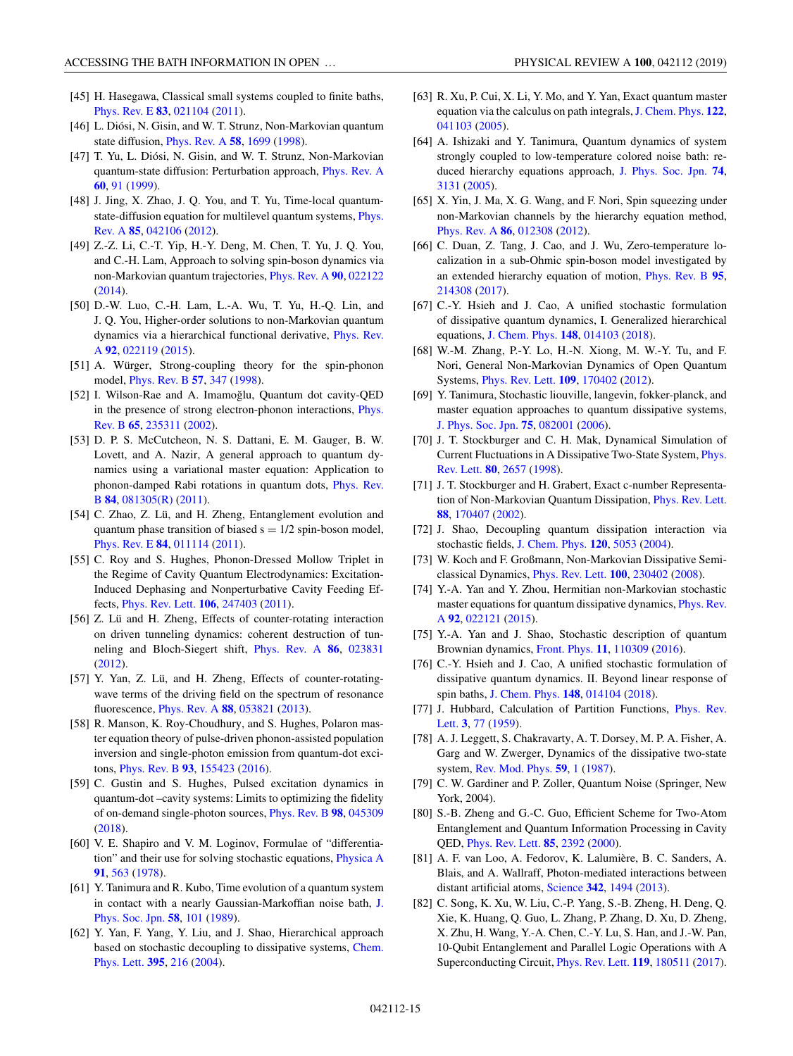- <span id="page-14-0"></span>[45] H. Hasegawa, Classical small systems coupled to finite baths, [Phys. Rev. E](https://doi.org/10.1103/PhysRevE.83.021104) **[83](https://doi.org/10.1103/PhysRevE.83.021104)**, [021104](https://doi.org/10.1103/PhysRevE.83.021104) [\(2011\)](https://doi.org/10.1103/PhysRevE.83.021104).
- [46] L. Diósi, N. Gisin, and W. T. Strunz, Non-Markovian quantum state diffusion, [Phys. Rev. A](https://doi.org/10.1103/PhysRevA.58.1699) **[58](https://doi.org/10.1103/PhysRevA.58.1699)**, [1699](https://doi.org/10.1103/PhysRevA.58.1699) [\(1998\)](https://doi.org/10.1103/PhysRevA.58.1699).
- [47] T. Yu, L. Diósi, N. Gisin, and W. T. Strunz, Non-Markovian quantum-state diffusion: Perturbation approach, [Phys. Rev. A](https://doi.org/10.1103/PhysRevA.60.91) **[60](https://doi.org/10.1103/PhysRevA.60.91)**, [91](https://doi.org/10.1103/PhysRevA.60.91) [\(1999\)](https://doi.org/10.1103/PhysRevA.60.91).
- [48] J. Jing, X. Zhao, J. O. You, and T. Yu, Time-local quantum[state-diffusion equation for multilevel quantum systems,](https://doi.org/10.1103/PhysRevA.85.042106) Phys. Rev. A **[85](https://doi.org/10.1103/PhysRevA.85.042106)**, [042106](https://doi.org/10.1103/PhysRevA.85.042106) [\(2012\)](https://doi.org/10.1103/PhysRevA.85.042106).
- [49] Z.-Z. Li, C.-T. Yip, H.-Y. Deng, M. Chen, T. Yu, J. Q. You, and C.-H. Lam, Approach to solving spin-boson dynamics via non-Markovian quantum trajectories, [Phys. Rev. A](https://doi.org/10.1103/PhysRevA.90.022122) **[90](https://doi.org/10.1103/PhysRevA.90.022122)**, [022122](https://doi.org/10.1103/PhysRevA.90.022122) [\(2014\)](https://doi.org/10.1103/PhysRevA.90.022122).
- [50] D.-W. Luo, C.-H. Lam, L.-A. Wu, T. Yu, H.-Q. Lin, and J. Q. You, Higher-order solutions to non-Markovian quantum [dynamics via a hierarchical functional derivative,](https://doi.org/10.1103/PhysRevA.92.022119) Phys. Rev. A **[92](https://doi.org/10.1103/PhysRevA.92.022119)**, [022119](https://doi.org/10.1103/PhysRevA.92.022119) [\(2015\)](https://doi.org/10.1103/PhysRevA.92.022119).
- [51] A. Würger, Strong-coupling theory for the spin-phonon model, [Phys. Rev. B](https://doi.org/10.1103/PhysRevB.57.347) **[57](https://doi.org/10.1103/PhysRevB.57.347)**, [347](https://doi.org/10.1103/PhysRevB.57.347) [\(1998\)](https://doi.org/10.1103/PhysRevB.57.347).
- [52] I. Wilson-Rae and A. Imamoğlu, Quantum dot cavity-QED [in the presence of strong electron-phonon interactions,](https://doi.org/10.1103/PhysRevB.65.235311) Phys. Rev. B **[65](https://doi.org/10.1103/PhysRevB.65.235311)**, [235311](https://doi.org/10.1103/PhysRevB.65.235311) [\(2002\)](https://doi.org/10.1103/PhysRevB.65.235311).
- [53] D. P. S. McCutcheon, N. S. Dattani, E. M. Gauger, B. W. Lovett, and A. Nazir, A general approach to quantum dynamics using a variational master equation: Application to [phonon-damped Rabi rotations in quantum dots,](https://doi.org/10.1103/PhysRevB.84.081305) Phys. Rev. B **[84](https://doi.org/10.1103/PhysRevB.84.081305)**, [081305\(R\)](https://doi.org/10.1103/PhysRevB.84.081305) [\(2011\)](https://doi.org/10.1103/PhysRevB.84.081305).
- [54] C. Zhao, Z. Lü, and H. Zheng, Entanglement evolution and quantum phase transition of biased  $s = \frac{1}{2}$  spin-boson model, [Phys. Rev. E](https://doi.org/10.1103/PhysRevE.84.011114) **[84](https://doi.org/10.1103/PhysRevE.84.011114)**, [011114](https://doi.org/10.1103/PhysRevE.84.011114) [\(2011\)](https://doi.org/10.1103/PhysRevE.84.011114).
- [55] C. Roy and S. Hughes, Phonon-Dressed Mollow Triplet in the Regime of Cavity Quantum Electrodynamics: Excitation-Induced Dephasing and Nonperturbative Cavity Feeding Effects, [Phys. Rev. Lett.](https://doi.org/10.1103/PhysRevLett.106.247403) **[106](https://doi.org/10.1103/PhysRevLett.106.247403)**, [247403](https://doi.org/10.1103/PhysRevLett.106.247403) [\(2011\)](https://doi.org/10.1103/PhysRevLett.106.247403).
- [56] Z. Lü and H. Zheng, Effects of counter-rotating interaction on driven tunneling dynamics: coherent destruction of tunneling and Bloch-Siegert shift, [Phys. Rev. A](https://doi.org/10.1103/PhysRevA.86.023831) **[86](https://doi.org/10.1103/PhysRevA.86.023831)**, [023831](https://doi.org/10.1103/PhysRevA.86.023831) [\(2012\)](https://doi.org/10.1103/PhysRevA.86.023831).
- [57] Y. Yan, Z. Lü, and H. Zheng, Effects of counter-rotatingwave terms of the driving field on the spectrum of resonance fluorescence, [Phys. Rev. A](https://doi.org/10.1103/PhysRevA.88.053821) **[88](https://doi.org/10.1103/PhysRevA.88.053821)**, [053821](https://doi.org/10.1103/PhysRevA.88.053821) [\(2013\)](https://doi.org/10.1103/PhysRevA.88.053821).
- [58] R. Manson, K. Roy-Choudhury, and S. Hughes, Polaron master equation theory of pulse-driven phonon-assisted population inversion and single-photon emission from quantum-dot excitons, [Phys. Rev. B](https://doi.org/10.1103/PhysRevB.93.155423) **[93](https://doi.org/10.1103/PhysRevB.93.155423)**, [155423](https://doi.org/10.1103/PhysRevB.93.155423) [\(2016\)](https://doi.org/10.1103/PhysRevB.93.155423).
- [59] C. Gustin and S. Hughes, Pulsed excitation dynamics in quantum-dot –cavity systems: Limits to optimizing the fidelity of on-demand single-photon sources, [Phys. Rev. B](https://doi.org/10.1103/PhysRevB.98.045309) **[98](https://doi.org/10.1103/PhysRevB.98.045309)**, [045309](https://doi.org/10.1103/PhysRevB.98.045309) [\(2018\)](https://doi.org/10.1103/PhysRevB.98.045309).
- [60] V. E. Shapiro and V. M. Loginov, Formulae of "differentiation" and their use for solving stochastic equations, [Physica A](https://doi.org/10.1016/0378-4371(78)90198-X) **[91](https://doi.org/10.1016/0378-4371(78)90198-X)**, [563](https://doi.org/10.1016/0378-4371(78)90198-X) [\(1978\)](https://doi.org/10.1016/0378-4371(78)90198-X).
- [61] Y. Tanimura and R. Kubo, Time evolution of a quantum system [in contact with a nearly Gaussian-Markoffian noise bath,](https://doi.org/10.1143/JPSJ.58.101) J. Phys. Soc. Jpn. **[58](https://doi.org/10.1143/JPSJ.58.101)**, [101](https://doi.org/10.1143/JPSJ.58.101) [\(1989\)](https://doi.org/10.1143/JPSJ.58.101).
- [62] Y. Yan, F. Yang, Y. Liu, and J. Shao, Hierarchical approach [based on stochastic decoupling to dissipative systems,](https://doi.org/10.1016/j.cplett.2004.07.036) Chem. Phys. Lett. **[395](https://doi.org/10.1016/j.cplett.2004.07.036)**, [216](https://doi.org/10.1016/j.cplett.2004.07.036) [\(2004\)](https://doi.org/10.1016/j.cplett.2004.07.036).
- [63] R. Xu, P. Cui, X. Li, Y. Mo, and Y. Yan, Exact quantum master equation via the calculus on path integrals, [J. Chem. Phys.](https://doi.org/10.1063/1.1850899) **[122](https://doi.org/10.1063/1.1850899)**, [041103](https://doi.org/10.1063/1.1850899) [\(2005\)](https://doi.org/10.1063/1.1850899).
- [64] A. Ishizaki and Y. Tanimura, Quantum dynamics of system strongly coupled to low-temperature colored noise bath: reduced hierarchy equations approach, [J. Phys. Soc. Jpn.](https://doi.org/10.1143/JPSJ.74.3131) **[74](https://doi.org/10.1143/JPSJ.74.3131)**, [3131](https://doi.org/10.1143/JPSJ.74.3131) [\(2005\)](https://doi.org/10.1143/JPSJ.74.3131).
- [65] X. Yin, J. Ma, X. G. Wang, and F. Nori, Spin squeezing under non-Markovian channels by the hierarchy equation method, [Phys. Rev. A](https://doi.org/10.1103/PhysRevA.86.012308) **[86](https://doi.org/10.1103/PhysRevA.86.012308)**, [012308](https://doi.org/10.1103/PhysRevA.86.012308) [\(2012\)](https://doi.org/10.1103/PhysRevA.86.012308).
- [66] C. Duan, Z. Tang, J. Cao, and J. Wu, Zero-temperature localization in a sub-Ohmic spin-boson model investigated by an extended hierarchy equation of motion, [Phys. Rev. B](https://doi.org/10.1103/PhysRevB.95.214308) **[95](https://doi.org/10.1103/PhysRevB.95.214308)**, [214308](https://doi.org/10.1103/PhysRevB.95.214308) [\(2017\)](https://doi.org/10.1103/PhysRevB.95.214308).
- [67] C.-Y. Hsieh and J. Cao, A unified stochastic formulation of dissipative quantum dynamics, I. Generalized hierarchical equations, [J. Chem. Phys.](https://doi.org/10.1063/1.5018725) **[148](https://doi.org/10.1063/1.5018725)**, [014103](https://doi.org/10.1063/1.5018725) [\(2018\)](https://doi.org/10.1063/1.5018725).
- [68] W.-M. Zhang, P.-Y. Lo, H.-N. Xiong, M. W.-Y. Tu, and F. Nori, General Non-Markovian Dynamics of Open Quantum Systems, [Phys. Rev. Lett.](https://doi.org/10.1103/PhysRevLett.109.170402) **[109](https://doi.org/10.1103/PhysRevLett.109.170402)**, [170402](https://doi.org/10.1103/PhysRevLett.109.170402) [\(2012\)](https://doi.org/10.1103/PhysRevLett.109.170402).
- [69] Y. Tanimura, Stochastic liouville, langevin, fokker-planck, and master equation approaches to quantum dissipative systems, [J. Phys. Soc. Jpn.](https://doi.org/10.1143/JPSJ.75.082001) **[75](https://doi.org/10.1143/JPSJ.75.082001)**, [082001](https://doi.org/10.1143/JPSJ.75.082001) [\(2006\)](https://doi.org/10.1143/JPSJ.75.082001).
- [70] J. T. Stockburger and C. H. Mak, Dynamical Simulation of [Current Fluctuations in A Dissipative Two-State System,](https://doi.org/10.1103/PhysRevLett.80.2657) Phys. Rev. Lett. **[80](https://doi.org/10.1103/PhysRevLett.80.2657)**, [2657](https://doi.org/10.1103/PhysRevLett.80.2657) [\(1998\)](https://doi.org/10.1103/PhysRevLett.80.2657).
- [71] J. T. Stockburger and H. Grabert, Exact c-number Representation of Non-Markovian Quantum Dissipation, [Phys. Rev. Lett.](https://doi.org/10.1103/PhysRevLett.88.170407) **[88](https://doi.org/10.1103/PhysRevLett.88.170407)**, [170407](https://doi.org/10.1103/PhysRevLett.88.170407) [\(2002\)](https://doi.org/10.1103/PhysRevLett.88.170407).
- [72] J. Shao, Decoupling quantum dissipation interaction via stochastic fields, [J. Chem. Phys.](https://doi.org/10.1063/1.1647528) **[120](https://doi.org/10.1063/1.1647528)**, [5053](https://doi.org/10.1063/1.1647528) [\(2004\)](https://doi.org/10.1063/1.1647528).
- [73] W. Koch and F. Großmann, Non-Markovian Dissipative Semiclassical Dynamics, [Phys. Rev. Lett.](https://doi.org/10.1103/PhysRevLett.100.230402) **[100](https://doi.org/10.1103/PhysRevLett.100.230402)**, [230402](https://doi.org/10.1103/PhysRevLett.100.230402) [\(2008\)](https://doi.org/10.1103/PhysRevLett.100.230402).
- [74] Y.-A. Yan and Y. Zhou, Hermitian non-Markovian stochastic [master equations for quantum dissipative dynamics,](https://doi.org/10.1103/PhysRevA.92.022121) Phys. Rev. A **[92](https://doi.org/10.1103/PhysRevA.92.022121)**, [022121](https://doi.org/10.1103/PhysRevA.92.022121) [\(2015\)](https://doi.org/10.1103/PhysRevA.92.022121).
- [75] Y.-A. Yan and J. Shao, Stochastic description of quantum Brownian dynamics, [Front. Phys.](https://doi.org/10.1007/s11467-016-0570-9) **[11](https://doi.org/10.1007/s11467-016-0570-9)**, [110309](https://doi.org/10.1007/s11467-016-0570-9) [\(2016\)](https://doi.org/10.1007/s11467-016-0570-9).
- [76] C.-Y. Hsieh and J. Cao, A unified stochastic formulation of dissipative quantum dynamics. II. Beyond linear response of spin baths, [J. Chem. Phys.](https://doi.org/10.1063/1.5018726) **[148](https://doi.org/10.1063/1.5018726)**, [014104](https://doi.org/10.1063/1.5018726) [\(2018\)](https://doi.org/10.1063/1.5018726).
- [77] [J. Hubbard, Calculation of Partition Functions,](https://doi.org/10.1103/PhysRevLett.3.77) Phys. Rev. Lett. **[3](https://doi.org/10.1103/PhysRevLett.3.77)**, [77](https://doi.org/10.1103/PhysRevLett.3.77) [\(1959\)](https://doi.org/10.1103/PhysRevLett.3.77).
- [78] A. J. Leggett, S. Chakravarty, A. T. Dorsey, M. P. A. Fisher, A. Garg and W. Zwerger, Dynamics of the dissipative two-state system, [Rev. Mod. Phys.](https://doi.org/10.1103/RevModPhys.59.1) **[59](https://doi.org/10.1103/RevModPhys.59.1)**, [1](https://doi.org/10.1103/RevModPhys.59.1) [\(1987\)](https://doi.org/10.1103/RevModPhys.59.1).
- [79] C. W. Gardiner and P. Zoller, Quantum Noise (Springer, New York, 2004).
- [80] S.-B. Zheng and G.-C. Guo, Efficient Scheme for Two-Atom Entanglement and Quantum Information Processing in Cavity QED, [Phys. Rev. Lett.](https://doi.org/10.1103/PhysRevLett.85.2392) **[85](https://doi.org/10.1103/PhysRevLett.85.2392)**, [2392](https://doi.org/10.1103/PhysRevLett.85.2392) [\(2000\)](https://doi.org/10.1103/PhysRevLett.85.2392).
- [81] A. F. van Loo, A. Fedorov, K. Lalumière, B. C. Sanders, A. Blais, and A. Wallraff, Photon-mediated interactions between distant artificial atoms, [Science](https://doi.org/10.1126/science.1244324) **[342](https://doi.org/10.1126/science.1244324)**, [1494](https://doi.org/10.1126/science.1244324) [\(2013\)](https://doi.org/10.1126/science.1244324).
- [82] C. Song, K. Xu, W. Liu, C.-P. Yang, S.-B. Zheng, H. Deng, Q. Xie, K. Huang, Q. Guo, L. Zhang, P. Zhang, D. Xu, D. Zheng, X. Zhu, H. Wang, Y.-A. Chen, C.-Y. Lu, S. Han, and J.-W. Pan, 10-Qubit Entanglement and Parallel Logic Operations with A Superconducting Circuit, [Phys. Rev. Lett.](https://doi.org/10.1103/PhysRevLett.119.180511) **[119](https://doi.org/10.1103/PhysRevLett.119.180511)**, [180511](https://doi.org/10.1103/PhysRevLett.119.180511) [\(2017\)](https://doi.org/10.1103/PhysRevLett.119.180511).